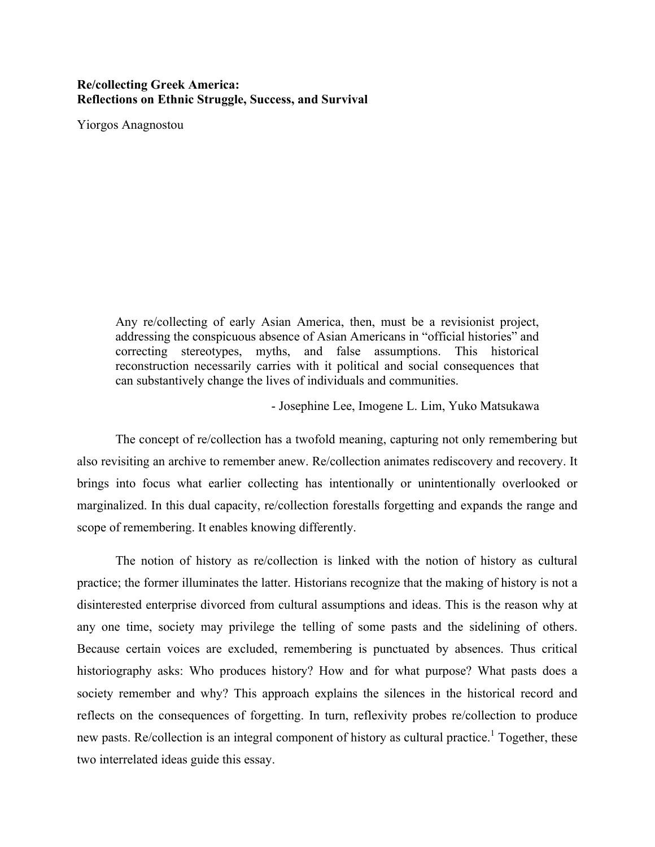# **Re/collecting Greek America: Reflections on Ethnic Struggle, Success, and Survival**

Yiorgos Anagnostou

Any re/collecting of early Asian America, then, must be a revisionist project, addressing the conspicuous absence of Asian Americans in "official histories" and correcting stereotypes, myths, and false assumptions. This historical reconstruction necessarily carries with it political and social consequences that can substantively change the lives of individuals and communities.

- Josephine Lee, Imogene L. Lim, Yuko Matsukawa

The concept of re/collection has a twofold meaning, capturing not only remembering but also revisiting an archive to remember anew. Re/collection animates rediscovery and recovery. It brings into focus what earlier collecting has intentionally or unintentionally overlooked or marginalized. In this dual capacity, re/collection forestalls forgetting and expands the range and scope of remembering. It enables knowing differently.

The notion of history as re/collection is linked with the notion of history as cultural practice; the former illuminates the latter. Historians recognize that the making of history is not a disinterested enterprise divorced from cultural assumptions and ideas. This is the reason why at any one time, society may privilege the telling of some pasts and the sidelining of others. Because certain voices are excluded, remembering is punctuated by absences. Thus critical historiography asks: Who produces history? How and for what purpose? What pasts does a society remember and why? This approach explains the silences in the historical record and reflects on the consequences of forgetting. In turn, reflexivity probes re/collection to produce new pasts. Re/collection is an integral component of history as cultural practice.<sup>1</sup> Together, these two interrelated ideas guide this essay.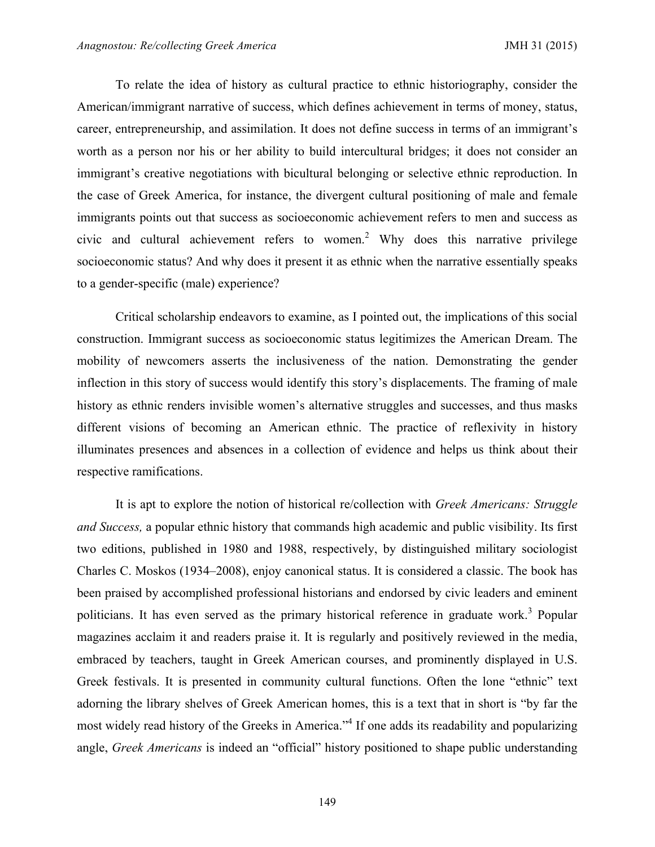To relate the idea of history as cultural practice to ethnic historiography, consider the American/immigrant narrative of success, which defines achievement in terms of money, status, career, entrepreneurship, and assimilation. It does not define success in terms of an immigrant's worth as a person nor his or her ability to build intercultural bridges; it does not consider an immigrant's creative negotiations with bicultural belonging or selective ethnic reproduction. In the case of Greek America, for instance, the divergent cultural positioning of male and female immigrants points out that success as socioeconomic achievement refers to men and success as civic and cultural achievement refers to women.<sup>2</sup> Why does this narrative privilege socioeconomic status? And why does it present it as ethnic when the narrative essentially speaks to a gender-specific (male) experience?

Critical scholarship endeavors to examine, as I pointed out, the implications of this social construction. Immigrant success as socioeconomic status legitimizes the American Dream. The mobility of newcomers asserts the inclusiveness of the nation. Demonstrating the gender inflection in this story of success would identify this story's displacements. The framing of male history as ethnic renders invisible women's alternative struggles and successes, and thus masks different visions of becoming an American ethnic. The practice of reflexivity in history illuminates presences and absences in a collection of evidence and helps us think about their respective ramifications.

It is apt to explore the notion of historical re/collection with *Greek Americans: Struggle and Success,* a popular ethnic history that commands high academic and public visibility. Its first two editions, published in 1980 and 1988, respectively, by distinguished military sociologist Charles C. Moskos (1934–2008), enjoy canonical status. It is considered a classic. The book has been praised by accomplished professional historians and endorsed by civic leaders and eminent politicians. It has even served as the primary historical reference in graduate work.<sup>3</sup> Popular magazines acclaim it and readers praise it. It is regularly and positively reviewed in the media, embraced by teachers, taught in Greek American courses, and prominently displayed in U.S. Greek festivals. It is presented in community cultural functions. Often the lone "ethnic" text adorning the library shelves of Greek American homes, this is a text that in short is "by far the most widely read history of the Greeks in America.<sup>44</sup> If one adds its readability and popularizing angle, *Greek Americans* is indeed an "official" history positioned to shape public understanding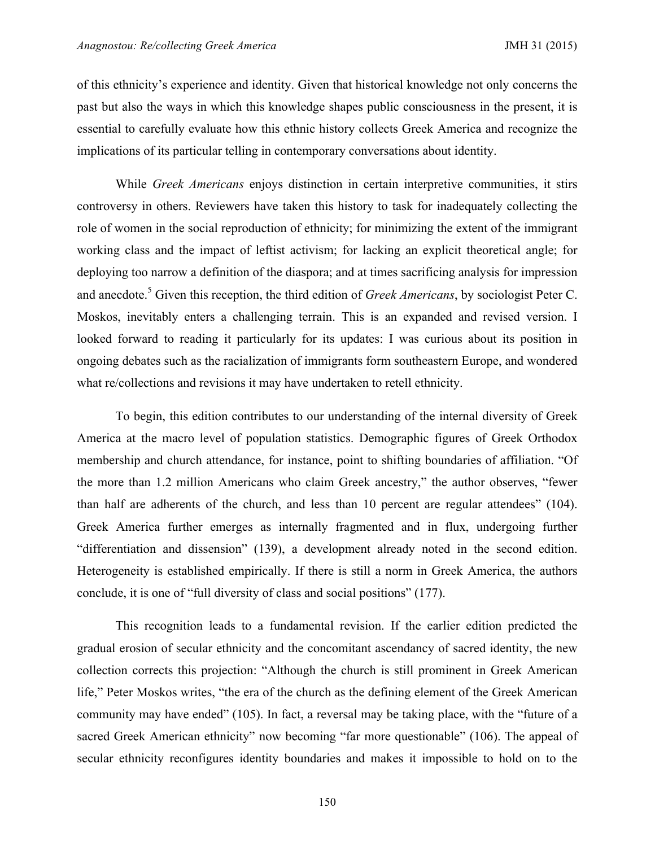of this ethnicity's experience and identity. Given that historical knowledge not only concerns the past but also the ways in which this knowledge shapes public consciousness in the present, it is essential to carefully evaluate how this ethnic history collects Greek America and recognize the implications of its particular telling in contemporary conversations about identity.

While *Greek Americans* enjoys distinction in certain interpretive communities, it stirs controversy in others. Reviewers have taken this history to task for inadequately collecting the role of women in the social reproduction of ethnicity; for minimizing the extent of the immigrant working class and the impact of leftist activism; for lacking an explicit theoretical angle; for deploying too narrow a definition of the diaspora; and at times sacrificing analysis for impression and anecdote.<sup>5</sup> Given this reception, the third edition of *Greek Americans*, by sociologist Peter C. Moskos, inevitably enters a challenging terrain. This is an expanded and revised version. I looked forward to reading it particularly for its updates: I was curious about its position in ongoing debates such as the racialization of immigrants form southeastern Europe, and wondered what re/collections and revisions it may have undertaken to retell ethnicity.

To begin, this edition contributes to our understanding of the internal diversity of Greek America at the macro level of population statistics. Demographic figures of Greek Orthodox membership and church attendance, for instance, point to shifting boundaries of affiliation. "Of the more than 1.2 million Americans who claim Greek ancestry," the author observes, "fewer than half are adherents of the church, and less than 10 percent are regular attendees" (104). Greek America further emerges as internally fragmented and in flux, undergoing further "differentiation and dissension" (139), a development already noted in the second edition. Heterogeneity is established empirically. If there is still a norm in Greek America, the authors conclude, it is one of "full diversity of class and social positions" (177).

This recognition leads to a fundamental revision. If the earlier edition predicted the gradual erosion of secular ethnicity and the concomitant ascendancy of sacred identity, the new collection corrects this projection: "Although the church is still prominent in Greek American life," Peter Moskos writes, "the era of the church as the defining element of the Greek American community may have ended" (105). In fact, a reversal may be taking place, with the "future of a sacred Greek American ethnicity" now becoming "far more questionable" (106). The appeal of secular ethnicity reconfigures identity boundaries and makes it impossible to hold on to the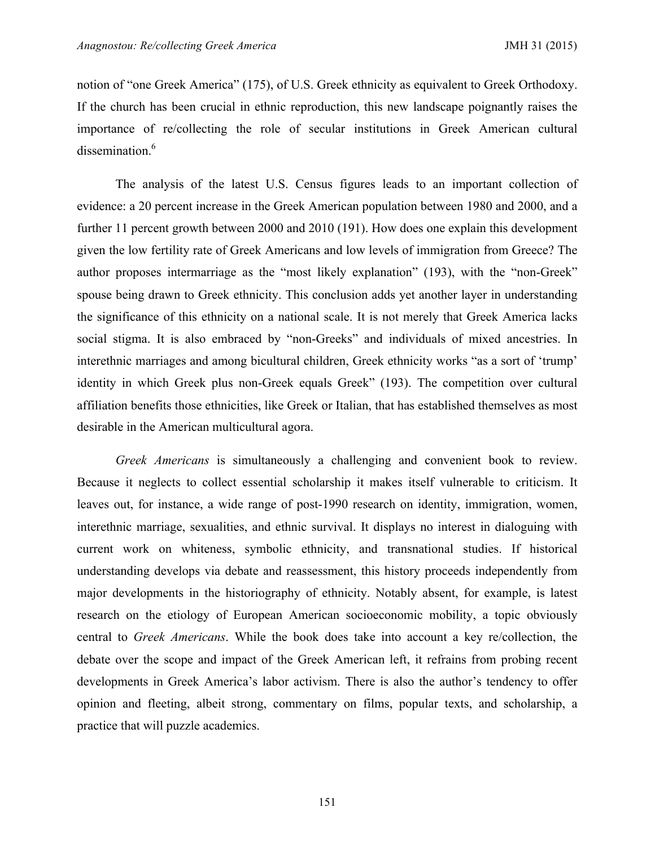notion of "one Greek America" (175), of U.S. Greek ethnicity as equivalent to Greek Orthodoxy. If the church has been crucial in ethnic reproduction, this new landscape poignantly raises the importance of re/collecting the role of secular institutions in Greek American cultural dissemination.<sup>6</sup>

The analysis of the latest U.S. Census figures leads to an important collection of evidence: a 20 percent increase in the Greek American population between 1980 and 2000, and a further 11 percent growth between 2000 and 2010 (191). How does one explain this development given the low fertility rate of Greek Americans and low levels of immigration from Greece? The author proposes intermarriage as the "most likely explanation" (193), with the "non-Greek" spouse being drawn to Greek ethnicity. This conclusion adds yet another layer in understanding the significance of this ethnicity on a national scale. It is not merely that Greek America lacks social stigma. It is also embraced by "non-Greeks" and individuals of mixed ancestries. In interethnic marriages and among bicultural children, Greek ethnicity works "as a sort of 'trump' identity in which Greek plus non-Greek equals Greek" (193). The competition over cultural affiliation benefits those ethnicities, like Greek or Italian, that has established themselves as most desirable in the American multicultural agora.

*Greek Americans* is simultaneously a challenging and convenient book to review. Because it neglects to collect essential scholarship it makes itself vulnerable to criticism. It leaves out, for instance, a wide range of post-1990 research on identity, immigration, women, interethnic marriage, sexualities, and ethnic survival. It displays no interest in dialoguing with current work on whiteness, symbolic ethnicity, and transnational studies. If historical understanding develops via debate and reassessment, this history proceeds independently from major developments in the historiography of ethnicity. Notably absent, for example, is latest research on the etiology of European American socioeconomic mobility, a topic obviously central to *Greek Americans*. While the book does take into account a key re/collection, the debate over the scope and impact of the Greek American left, it refrains from probing recent developments in Greek America's labor activism. There is also the author's tendency to offer opinion and fleeting, albeit strong, commentary on films, popular texts, and scholarship, a practice that will puzzle academics.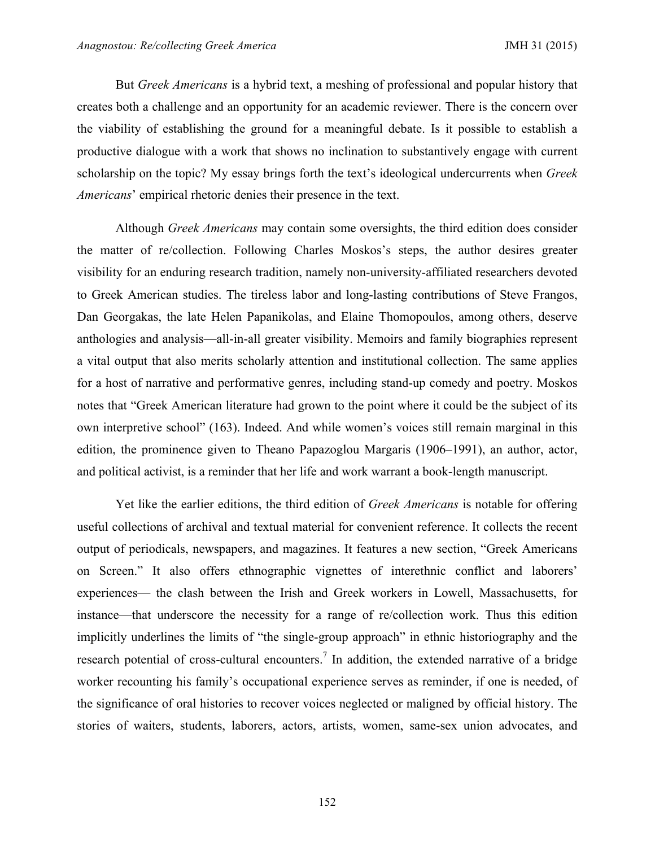But *Greek Americans* is a hybrid text, a meshing of professional and popular history that creates both a challenge and an opportunity for an academic reviewer. There is the concern over the viability of establishing the ground for a meaningful debate. Is it possible to establish a productive dialogue with a work that shows no inclination to substantively engage with current scholarship on the topic? My essay brings forth the text's ideological undercurrents when *Greek Americans*' empirical rhetoric denies their presence in the text.

Although *Greek Americans* may contain some oversights, the third edition does consider the matter of re/collection. Following Charles Moskos's steps, the author desires greater visibility for an enduring research tradition, namely non-university-affiliated researchers devoted to Greek American studies. The tireless labor and long-lasting contributions of Steve Frangos, Dan Georgakas, the late Helen Papanikolas, and Elaine Thomopoulos, among others, deserve anthologies and analysis—all-in-all greater visibility. Memoirs and family biographies represent a vital output that also merits scholarly attention and institutional collection. The same applies for a host of narrative and performative genres, including stand-up comedy and poetry. Moskos notes that "Greek American literature had grown to the point where it could be the subject of its own interpretive school" (163). Indeed. And while women's voices still remain marginal in this edition, the prominence given to Theano Papazoglou Margaris (1906–1991), an author, actor, and political activist, is a reminder that her life and work warrant a book-length manuscript.

Yet like the earlier editions, the third edition of *Greek Americans* is notable for offering useful collections of archival and textual material for convenient reference. It collects the recent output of periodicals, newspapers, and magazines. It features a new section, "Greek Americans on Screen." It also offers ethnographic vignettes of interethnic conflict and laborers' experiences— the clash between the Irish and Greek workers in Lowell, Massachusetts, for instance—that underscore the necessity for a range of re/collection work. Thus this edition implicitly underlines the limits of "the single-group approach" in ethnic historiography and the research potential of cross-cultural encounters.<sup>7</sup> In addition, the extended narrative of a bridge worker recounting his family's occupational experience serves as reminder, if one is needed, of the significance of oral histories to recover voices neglected or maligned by official history. The stories of waiters, students, laborers, actors, artists, women, same-sex union advocates, and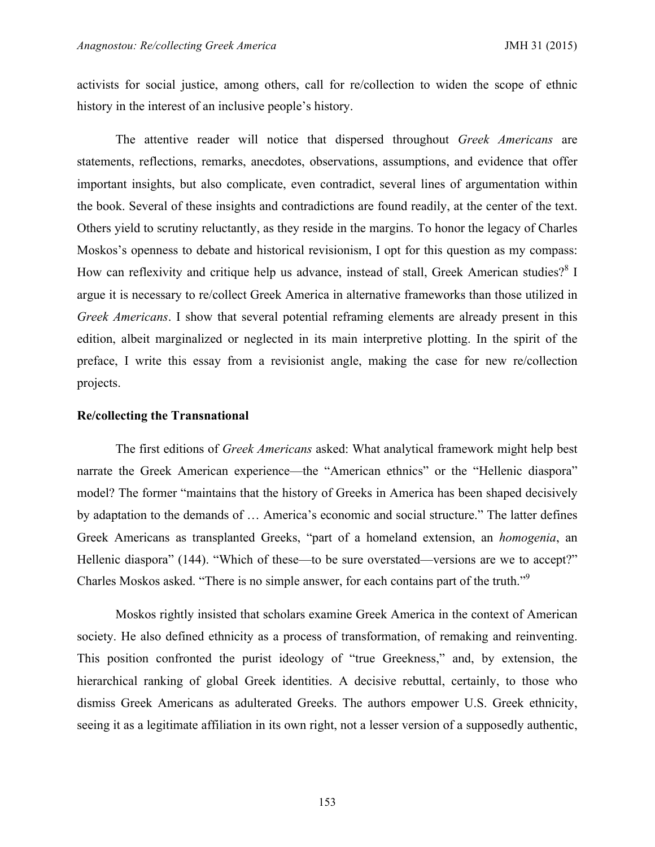activists for social justice, among others, call for re/collection to widen the scope of ethnic history in the interest of an inclusive people's history.

The attentive reader will notice that dispersed throughout *Greek Americans* are statements, reflections, remarks, anecdotes, observations, assumptions, and evidence that offer important insights, but also complicate, even contradict, several lines of argumentation within the book. Several of these insights and contradictions are found readily, at the center of the text. Others yield to scrutiny reluctantly, as they reside in the margins. To honor the legacy of Charles Moskos's openness to debate and historical revisionism, I opt for this question as my compass: How can reflexivity and critique help us advance, instead of stall, Greek American studies?<sup>8</sup> I argue it is necessary to re/collect Greek America in alternative frameworks than those utilized in *Greek Americans*. I show that several potential reframing elements are already present in this edition, albeit marginalized or neglected in its main interpretive plotting. In the spirit of the preface, I write this essay from a revisionist angle, making the case for new re/collection projects.

#### **Re/collecting the Transnational**

The first editions of *Greek Americans* asked: What analytical framework might help best narrate the Greek American experience—the "American ethnics" or the "Hellenic diaspora" model? The former "maintains that the history of Greeks in America has been shaped decisively by adaptation to the demands of … America's economic and social structure." The latter defines Greek Americans as transplanted Greeks, "part of a homeland extension, an *homogenia*, an Hellenic diaspora" (144). "Which of these—to be sure overstated—versions are we to accept?" Charles Moskos asked. "There is no simple answer, for each contains part of the truth."9

Moskos rightly insisted that scholars examine Greek America in the context of American society. He also defined ethnicity as a process of transformation, of remaking and reinventing. This position confronted the purist ideology of "true Greekness," and, by extension, the hierarchical ranking of global Greek identities. A decisive rebuttal, certainly, to those who dismiss Greek Americans as adulterated Greeks. The authors empower U.S. Greek ethnicity, seeing it as a legitimate affiliation in its own right, not a lesser version of a supposedly authentic,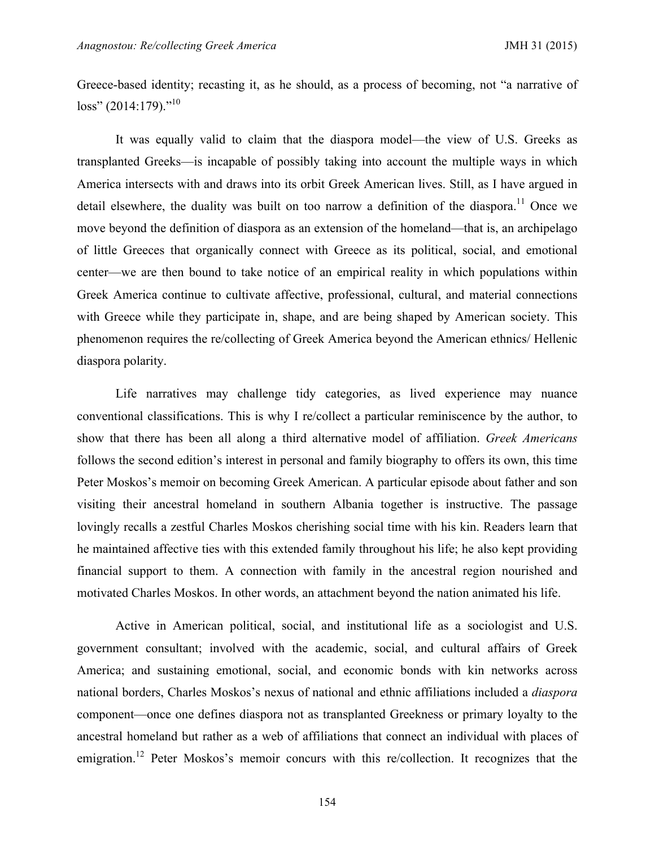Greece-based identity; recasting it, as he should, as a process of becoming, not "a narrative of  $loss'' (2014:179)$ ."<sup>10</sup>

It was equally valid to claim that the diaspora model—the view of U.S. Greeks as transplanted Greeks—is incapable of possibly taking into account the multiple ways in which America intersects with and draws into its orbit Greek American lives. Still, as I have argued in detail elsewhere, the duality was built on too narrow a definition of the diaspora.<sup>11</sup> Once we move beyond the definition of diaspora as an extension of the homeland—that is, an archipelago of little Greeces that organically connect with Greece as its political, social, and emotional center—we are then bound to take notice of an empirical reality in which populations within Greek America continue to cultivate affective, professional, cultural, and material connections with Greece while they participate in, shape, and are being shaped by American society. This phenomenon requires the re/collecting of Greek America beyond the American ethnics/ Hellenic diaspora polarity.

Life narratives may challenge tidy categories, as lived experience may nuance conventional classifications. This is why I re/collect a particular reminiscence by the author, to show that there has been all along a third alternative model of affiliation. *Greek Americans* follows the second edition's interest in personal and family biography to offers its own, this time Peter Moskos's memoir on becoming Greek American. A particular episode about father and son visiting their ancestral homeland in southern Albania together is instructive. The passage lovingly recalls a zestful Charles Moskos cherishing social time with his kin. Readers learn that he maintained affective ties with this extended family throughout his life; he also kept providing financial support to them. A connection with family in the ancestral region nourished and motivated Charles Moskos. In other words, an attachment beyond the nation animated his life.

Active in American political, social, and institutional life as a sociologist and U.S. government consultant; involved with the academic, social, and cultural affairs of Greek America; and sustaining emotional, social, and economic bonds with kin networks across national borders, Charles Moskos's nexus of national and ethnic affiliations included a *diaspora* component—once one defines diaspora not as transplanted Greekness or primary loyalty to the ancestral homeland but rather as a web of affiliations that connect an individual with places of emigration.<sup>12</sup> Peter Moskos's memoir concurs with this re/collection. It recognizes that the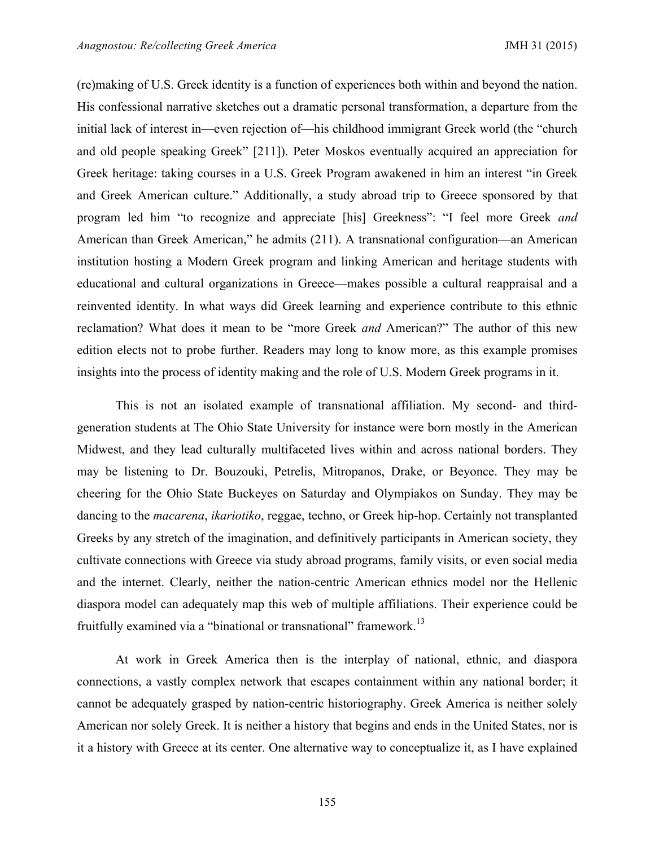(re)making of U.S. Greek identity is a function of experiences both within and beyond the nation. His confessional narrative sketches out a dramatic personal transformation, a departure from the initial lack of interest in—even rejection of—his childhood immigrant Greek world (the "church and old people speaking Greek" [211]). Peter Moskos eventually acquired an appreciation for Greek heritage: taking courses in a U.S. Greek Program awakened in him an interest "in Greek and Greek American culture." Additionally, a study abroad trip to Greece sponsored by that program led him "to recognize and appreciate [his] Greekness": "I feel more Greek *and* American than Greek American," he admits (211). A transnational configuration—an American institution hosting a Modern Greek program and linking American and heritage students with educational and cultural organizations in Greece—makes possible a cultural reappraisal and a reinvented identity. In what ways did Greek learning and experience contribute to this ethnic reclamation? What does it mean to be "more Greek *and* American?" The author of this new edition elects not to probe further. Readers may long to know more, as this example promises insights into the process of identity making and the role of U.S. Modern Greek programs in it.

This is not an isolated example of transnational affiliation. My second- and thirdgeneration students at The Ohio State University for instance were born mostly in the American Midwest, and they lead culturally multifaceted lives within and across national borders. They may be listening to Dr. Bouzouki, Petrelis, Mitropanos, Drake, or Beyonce. They may be cheering for the Ohio State Buckeyes on Saturday and Olympiakos on Sunday. They may be dancing to the *macarena*, *ikariotiko*, reggae, techno, or Greek hip-hop. Certainly not transplanted Greeks by any stretch of the imagination, and definitively participants in American society, they cultivate connections with Greece via study abroad programs, family visits, or even social media and the internet. Clearly, neither the nation-centric American ethnics model nor the Hellenic diaspora model can adequately map this web of multiple affiliations. Their experience could be fruitfully examined via a "binational or transnational" framework.<sup>13</sup>

At work in Greek America then is the interplay of national, ethnic, and diaspora connections, a vastly complex network that escapes containment within any national border; it cannot be adequately grasped by nation-centric historiography. Greek America is neither solely American nor solely Greek. It is neither a history that begins and ends in the United States, nor is it a history with Greece at its center. One alternative way to conceptualize it, as I have explained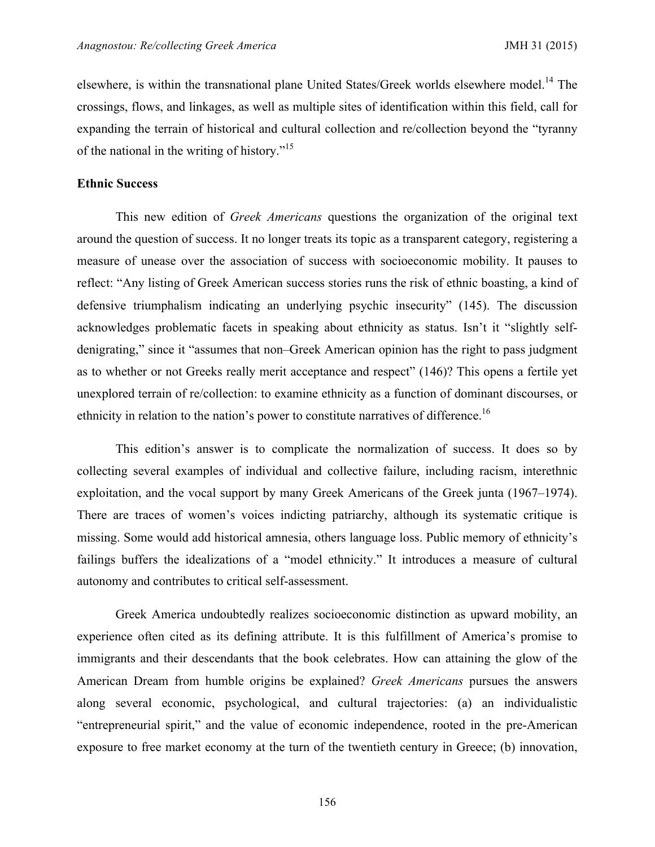elsewhere, is within the transnational plane United States/Greek worlds elsewhere model.<sup>14</sup> The crossings, flows, and linkages, as well as multiple sites of identification within this field, call for expanding the terrain of historical and cultural collection and re/collection beyond the "tyranny of the national in the writing of history."<sup>15</sup>

#### **Ethnic Success**

This new edition of *Greek Americans* questions the organization of the original text around the question of success. It no longer treats its topic as a transparent category, registering a measure of unease over the association of success with socioeconomic mobility. It pauses to reflect: "Any listing of Greek American success stories runs the risk of ethnic boasting, a kind of defensive triumphalism indicating an underlying psychic insecurity" (145). The discussion acknowledges problematic facets in speaking about ethnicity as status. Isn't it "slightly selfdenigrating," since it "assumes that non–Greek American opinion has the right to pass judgment as to whether or not Greeks really merit acceptance and respect" (146)? This opens a fertile yet unexplored terrain of re/collection: to examine ethnicity as a function of dominant discourses, or ethnicity in relation to the nation's power to constitute narratives of difference.<sup>16</sup>

This edition's answer is to complicate the normalization of success. It does so by collecting several examples of individual and collective failure, including racism, interethnic exploitation, and the vocal support by many Greek Americans of the Greek junta (1967–1974). There are traces of women's voices indicting patriarchy, although its systematic critique is missing. Some would add historical amnesia, others language loss. Public memory of ethnicity's failings buffers the idealizations of a "model ethnicity." It introduces a measure of cultural autonomy and contributes to critical self-assessment.

Greek America undoubtedly realizes socioeconomic distinction as upward mobility, an experience often cited as its defining attribute. It is this fulfillment of America's promise to immigrants and their descendants that the book celebrates. How can attaining the glow of the American Dream from humble origins be explained? *Greek Americans* pursues the answers along several economic, psychological, and cultural trajectories: (a) an individualistic "entrepreneurial spirit," and the value of economic independence, rooted in the pre-American exposure to free market economy at the turn of the twentieth century in Greece; (b) innovation,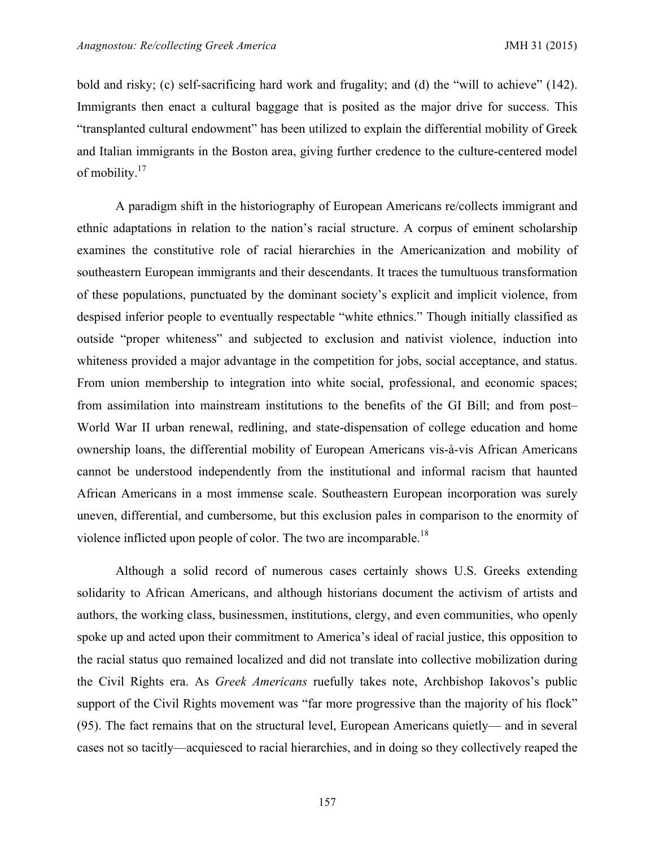bold and risky; (c) self-sacrificing hard work and frugality; and (d) the "will to achieve" (142). Immigrants then enact a cultural baggage that is posited as the major drive for success. This "transplanted cultural endowment" has been utilized to explain the differential mobility of Greek and Italian immigrants in the Boston area, giving further credence to the culture-centered model of mobility.<sup>17</sup>

A paradigm shift in the historiography of European Americans re/collects immigrant and ethnic adaptations in relation to the nation's racial structure. A corpus of eminent scholarship examines the constitutive role of racial hierarchies in the Americanization and mobility of southeastern European immigrants and their descendants. It traces the tumultuous transformation of these populations, punctuated by the dominant society's explicit and implicit violence, from despised inferior people to eventually respectable "white ethnics." Though initially classified as outside "proper whiteness" and subjected to exclusion and nativist violence, induction into whiteness provided a major advantage in the competition for jobs, social acceptance, and status. From union membership to integration into white social, professional, and economic spaces; from assimilation into mainstream institutions to the benefits of the GI Bill; and from post– World War II urban renewal, redlining, and state-dispensation of college education and home ownership loans, the differential mobility of European Americans vis-à-vis African Americans cannot be understood independently from the institutional and informal racism that haunted African Americans in a most immense scale. Southeastern European incorporation was surely uneven, differential, and cumbersome, but this exclusion pales in comparison to the enormity of violence inflicted upon people of color. The two are incomparable.<sup>18</sup>

Although a solid record of numerous cases certainly shows U.S. Greeks extending solidarity to African Americans, and although historians document the activism of artists and authors, the working class, businessmen, institutions, clergy, and even communities, who openly spoke up and acted upon their commitment to America's ideal of racial justice, this opposition to the racial status quo remained localized and did not translate into collective mobilization during the Civil Rights era. As *Greek Americans* ruefully takes note, Archbishop Iakovos's public support of the Civil Rights movement was "far more progressive than the majority of his flock" (95). The fact remains that on the structural level, European Americans quietly— and in several cases not so tacitly—acquiesced to racial hierarchies, and in doing so they collectively reaped the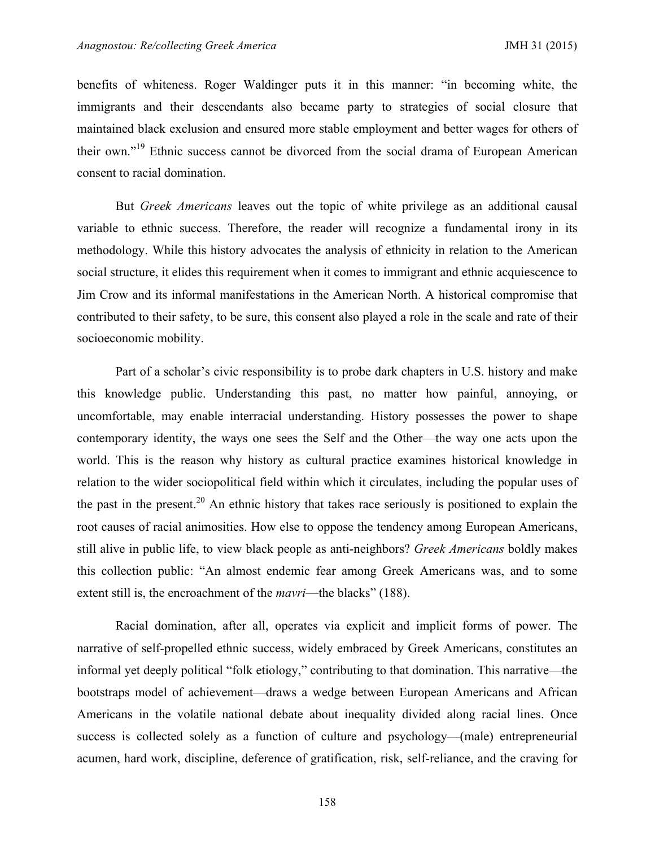benefits of whiteness. Roger Waldinger puts it in this manner: "in becoming white, the immigrants and their descendants also became party to strategies of social closure that maintained black exclusion and ensured more stable employment and better wages for others of their own."<sup>19</sup> Ethnic success cannot be divorced from the social drama of European American consent to racial domination.

But *Greek Americans* leaves out the topic of white privilege as an additional causal variable to ethnic success. Therefore, the reader will recognize a fundamental irony in its methodology. While this history advocates the analysis of ethnicity in relation to the American social structure, it elides this requirement when it comes to immigrant and ethnic acquiescence to Jim Crow and its informal manifestations in the American North. A historical compromise that contributed to their safety, to be sure, this consent also played a role in the scale and rate of their socioeconomic mobility.

Part of a scholar's civic responsibility is to probe dark chapters in U.S. history and make this knowledge public. Understanding this past, no matter how painful, annoying, or uncomfortable, may enable interracial understanding. History possesses the power to shape contemporary identity, the ways one sees the Self and the Other—the way one acts upon the world. This is the reason why history as cultural practice examines historical knowledge in relation to the wider sociopolitical field within which it circulates, including the popular uses of the past in the present.<sup>20</sup> An ethnic history that takes race seriously is positioned to explain the root causes of racial animosities. How else to oppose the tendency among European Americans, still alive in public life, to view black people as anti-neighbors? *Greek Americans* boldly makes this collection public: "An almost endemic fear among Greek Americans was, and to some extent still is, the encroachment of the *mavri*—the blacks" (188).

Racial domination, after all, operates via explicit and implicit forms of power. The narrative of self-propelled ethnic success, widely embraced by Greek Americans, constitutes an informal yet deeply political "folk etiology," contributing to that domination. This narrative—the bootstraps model of achievement—draws a wedge between European Americans and African Americans in the volatile national debate about inequality divided along racial lines. Once success is collected solely as a function of culture and psychology—(male) entrepreneurial acumen, hard work, discipline, deference of gratification, risk, self-reliance, and the craving for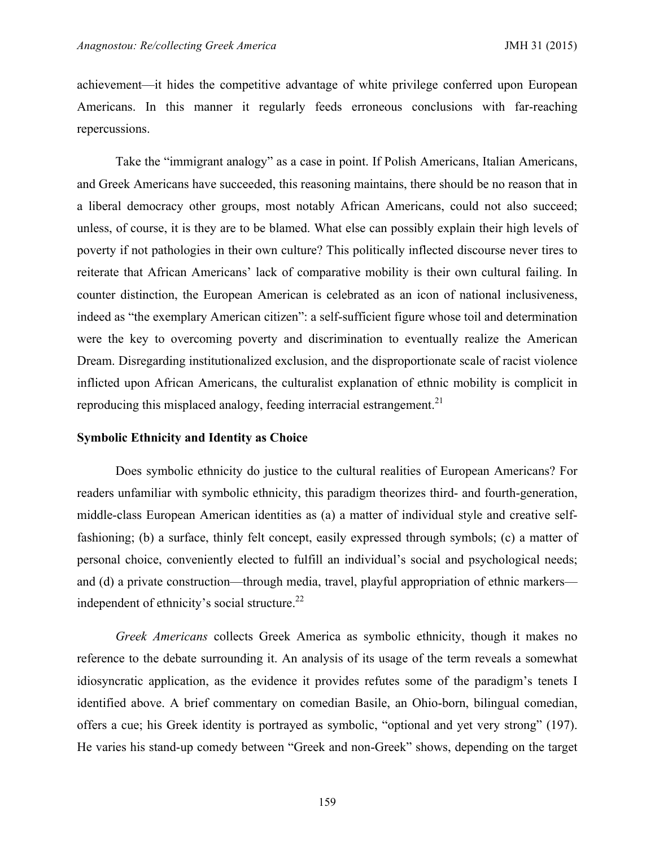achievement—it hides the competitive advantage of white privilege conferred upon European Americans. In this manner it regularly feeds erroneous conclusions with far-reaching repercussions.

Take the "immigrant analogy" as a case in point. If Polish Americans, Italian Americans, and Greek Americans have succeeded, this reasoning maintains, there should be no reason that in a liberal democracy other groups, most notably African Americans, could not also succeed; unless, of course, it is they are to be blamed. What else can possibly explain their high levels of poverty if not pathologies in their own culture? This politically inflected discourse never tires to reiterate that African Americans' lack of comparative mobility is their own cultural failing. In counter distinction, the European American is celebrated as an icon of national inclusiveness, indeed as "the exemplary American citizen": a self-sufficient figure whose toil and determination were the key to overcoming poverty and discrimination to eventually realize the American Dream. Disregarding institutionalized exclusion, and the disproportionate scale of racist violence inflicted upon African Americans, the culturalist explanation of ethnic mobility is complicit in reproducing this misplaced analogy, feeding interracial estrangement.<sup>21</sup>

# **Symbolic Ethnicity and Identity as Choice**

Does symbolic ethnicity do justice to the cultural realities of European Americans? For readers unfamiliar with symbolic ethnicity, this paradigm theorizes third- and fourth-generation, middle-class European American identities as (a) a matter of individual style and creative selffashioning; (b) a surface, thinly felt concept, easily expressed through symbols; (c) a matter of personal choice, conveniently elected to fulfill an individual's social and psychological needs; and (d) a private construction—through media, travel, playful appropriation of ethnic markers independent of ethnicity's social structure. $^{22}$ 

*Greek Americans* collects Greek America as symbolic ethnicity, though it makes no reference to the debate surrounding it. An analysis of its usage of the term reveals a somewhat idiosyncratic application, as the evidence it provides refutes some of the paradigm's tenets I identified above. A brief commentary on comedian Basile, an Ohio-born, bilingual comedian, offers a cue; his Greek identity is portrayed as symbolic, "optional and yet very strong" (197). He varies his stand-up comedy between "Greek and non-Greek" shows, depending on the target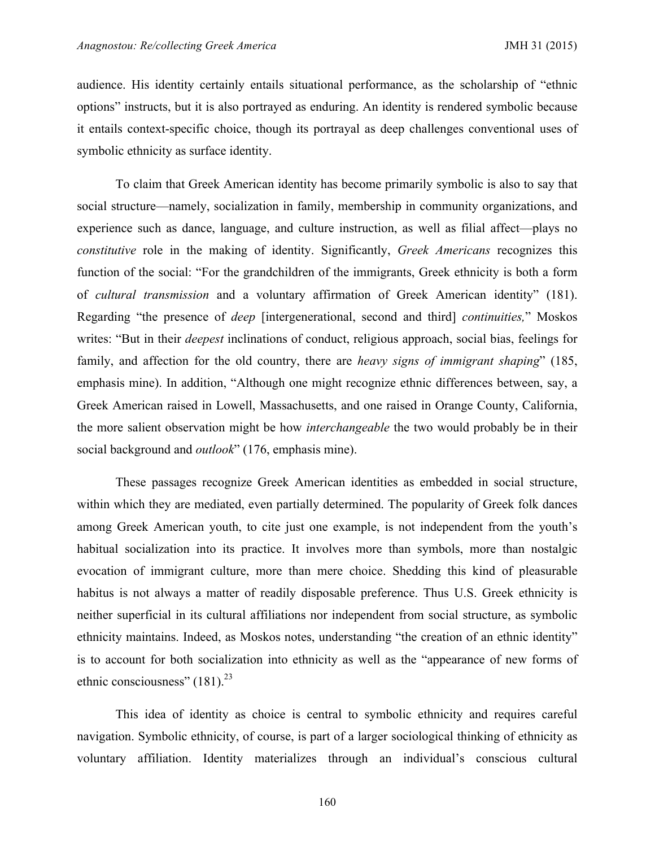audience. His identity certainly entails situational performance, as the scholarship of "ethnic options" instructs, but it is also portrayed as enduring. An identity is rendered symbolic because it entails context-specific choice, though its portrayal as deep challenges conventional uses of symbolic ethnicity as surface identity.

To claim that Greek American identity has become primarily symbolic is also to say that social structure—namely, socialization in family, membership in community organizations, and experience such as dance, language, and culture instruction, as well as filial affect—plays no *constitutive* role in the making of identity. Significantly, *Greek Americans* recognizes this function of the social: "For the grandchildren of the immigrants, Greek ethnicity is both a form of *cultural transmission* and a voluntary affirmation of Greek American identity" (181). Regarding "the presence of *deep* [intergenerational, second and third] *continuities,*" Moskos writes: "But in their *deepest* inclinations of conduct, religious approach, social bias, feelings for family, and affection for the old country, there are *heavy signs of immigrant shaping*" (185, emphasis mine). In addition, "Although one might recognize ethnic differences between, say, a Greek American raised in Lowell, Massachusetts, and one raised in Orange County, California, the more salient observation might be how *interchangeable* the two would probably be in their social background and *outlook*" (176, emphasis mine).

These passages recognize Greek American identities as embedded in social structure, within which they are mediated, even partially determined. The popularity of Greek folk dances among Greek American youth, to cite just one example, is not independent from the youth's habitual socialization into its practice. It involves more than symbols, more than nostalgic evocation of immigrant culture, more than mere choice. Shedding this kind of pleasurable habitus is not always a matter of readily disposable preference. Thus U.S. Greek ethnicity is neither superficial in its cultural affiliations nor independent from social structure, as symbolic ethnicity maintains. Indeed, as Moskos notes, understanding "the creation of an ethnic identity" is to account for both socialization into ethnicity as well as the "appearance of new forms of ethnic consciousness"  $(181)^{23}$ 

This idea of identity as choice is central to symbolic ethnicity and requires careful navigation. Symbolic ethnicity, of course, is part of a larger sociological thinking of ethnicity as voluntary affiliation. Identity materializes through an individual's conscious cultural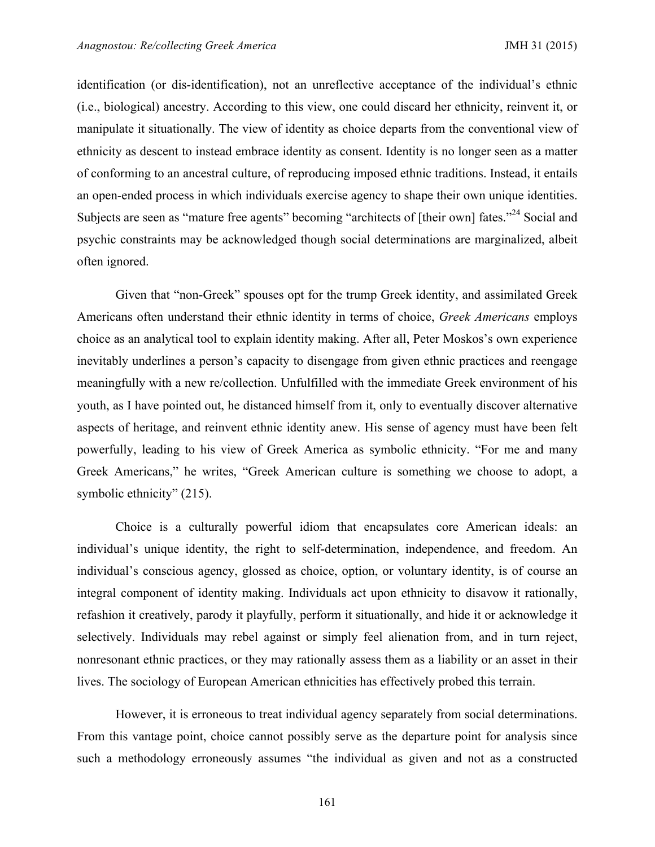identification (or dis-identification), not an unreflective acceptance of the individual's ethnic (i.e., biological) ancestry. According to this view, one could discard her ethnicity, reinvent it, or manipulate it situationally. The view of identity as choice departs from the conventional view of ethnicity as descent to instead embrace identity as consent. Identity is no longer seen as a matter of conforming to an ancestral culture, of reproducing imposed ethnic traditions. Instead, it entails an open-ended process in which individuals exercise agency to shape their own unique identities. Subjects are seen as "mature free agents" becoming "architects of [their own] fates."<sup>24</sup> Social and psychic constraints may be acknowledged though social determinations are marginalized, albeit often ignored.

Given that "non-Greek" spouses opt for the trump Greek identity, and assimilated Greek Americans often understand their ethnic identity in terms of choice, *Greek Americans* employs choice as an analytical tool to explain identity making. After all, Peter Moskos's own experience inevitably underlines a person's capacity to disengage from given ethnic practices and reengage meaningfully with a new re/collection. Unfulfilled with the immediate Greek environment of his youth, as I have pointed out, he distanced himself from it, only to eventually discover alternative aspects of heritage, and reinvent ethnic identity anew. His sense of agency must have been felt powerfully, leading to his view of Greek America as symbolic ethnicity. "For me and many Greek Americans," he writes, "Greek American culture is something we choose to adopt, a symbolic ethnicity" (215).

Choice is a culturally powerful idiom that encapsulates core American ideals: an individual's unique identity, the right to self-determination, independence, and freedom. An individual's conscious agency, glossed as choice, option, or voluntary identity, is of course an integral component of identity making. Individuals act upon ethnicity to disavow it rationally, refashion it creatively, parody it playfully, perform it situationally, and hide it or acknowledge it selectively. Individuals may rebel against or simply feel alienation from, and in turn reject, nonresonant ethnic practices, or they may rationally assess them as a liability or an asset in their lives. The sociology of European American ethnicities has effectively probed this terrain.

However, it is erroneous to treat individual agency separately from social determinations. From this vantage point, choice cannot possibly serve as the departure point for analysis since such a methodology erroneously assumes "the individual as given and not as a constructed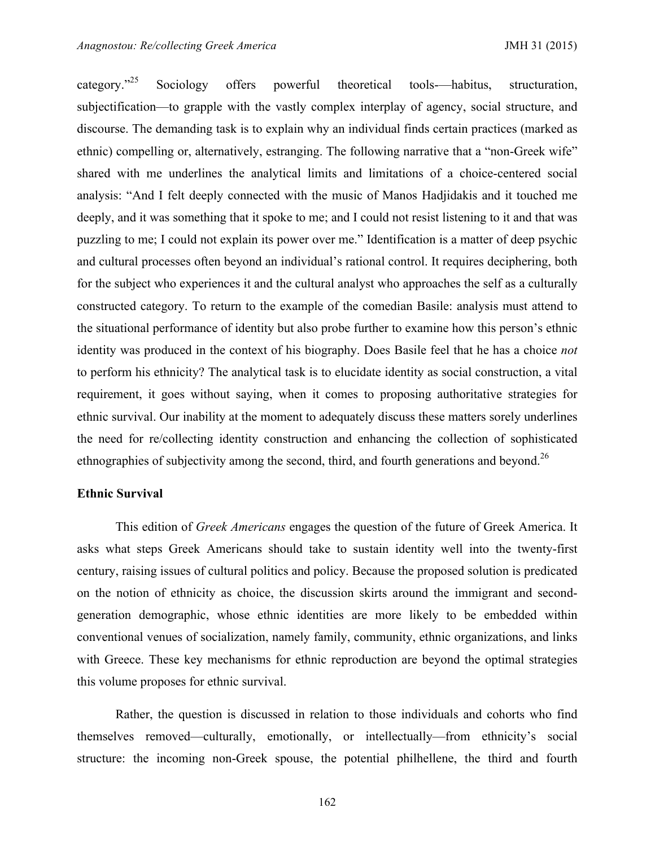category."<sup>25</sup> Sociology offers powerful theoretical tools-—habitus, structuration, subjectification—to grapple with the vastly complex interplay of agency, social structure, and discourse. The demanding task is to explain why an individual finds certain practices (marked as ethnic) compelling or, alternatively, estranging. The following narrative that a "non-Greek wife" shared with me underlines the analytical limits and limitations of a choice-centered social analysis: "And I felt deeply connected with the music of Manos Hadjidakis and it touched me deeply, and it was something that it spoke to me; and I could not resist listening to it and that was puzzling to me; I could not explain its power over me." Identification is a matter of deep psychic and cultural processes often beyond an individual's rational control. It requires deciphering, both for the subject who experiences it and the cultural analyst who approaches the self as a culturally constructed category. To return to the example of the comedian Basile: analysis must attend to the situational performance of identity but also probe further to examine how this person's ethnic identity was produced in the context of his biography. Does Basile feel that he has a choice *not* to perform his ethnicity? The analytical task is to elucidate identity as social construction, a vital requirement, it goes without saying, when it comes to proposing authoritative strategies for ethnic survival. Our inability at the moment to adequately discuss these matters sorely underlines the need for re/collecting identity construction and enhancing the collection of sophisticated ethnographies of subjectivity among the second, third, and fourth generations and beyond.<sup>26</sup>

# **Ethnic Survival**

This edition of *Greek Americans* engages the question of the future of Greek America. It asks what steps Greek Americans should take to sustain identity well into the twenty-first century, raising issues of cultural politics and policy. Because the proposed solution is predicated on the notion of ethnicity as choice, the discussion skirts around the immigrant and secondgeneration demographic, whose ethnic identities are more likely to be embedded within conventional venues of socialization, namely family, community, ethnic organizations, and links with Greece. These key mechanisms for ethnic reproduction are beyond the optimal strategies this volume proposes for ethnic survival.

Rather, the question is discussed in relation to those individuals and cohorts who find themselves removed—culturally, emotionally, or intellectually—from ethnicity's social structure: the incoming non-Greek spouse, the potential philhellene, the third and fourth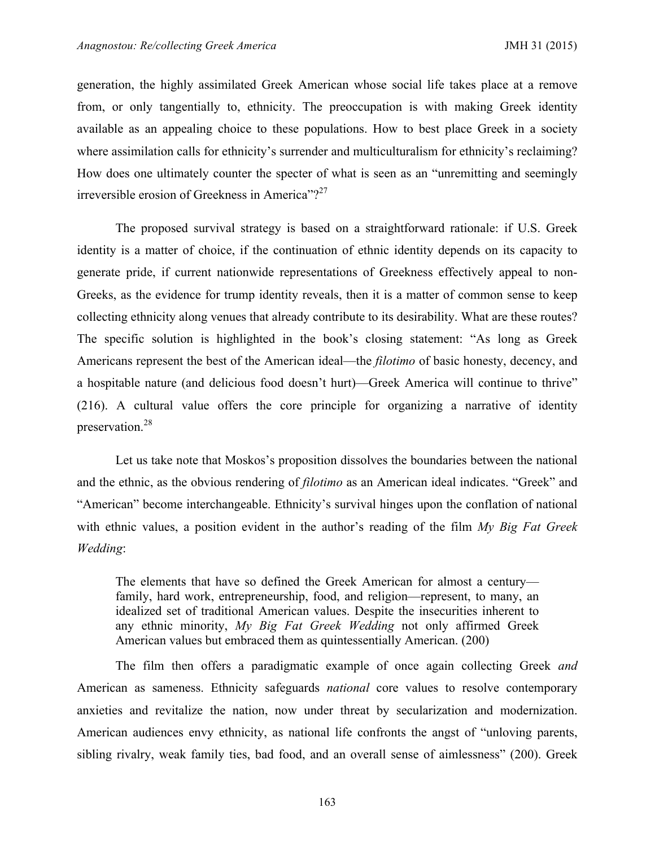generation, the highly assimilated Greek American whose social life takes place at a remove from, or only tangentially to, ethnicity. The preoccupation is with making Greek identity available as an appealing choice to these populations. How to best place Greek in a society where assimilation calls for ethnicity's surrender and multiculturalism for ethnicity's reclaiming? How does one ultimately counter the specter of what is seen as an "unremitting and seemingly irreversible erosion of Greekness in America"?<sup>27</sup>

The proposed survival strategy is based on a straightforward rationale: if U.S. Greek identity is a matter of choice, if the continuation of ethnic identity depends on its capacity to generate pride, if current nationwide representations of Greekness effectively appeal to non-Greeks, as the evidence for trump identity reveals, then it is a matter of common sense to keep collecting ethnicity along venues that already contribute to its desirability. What are these routes? The specific solution is highlighted in the book's closing statement: "As long as Greek Americans represent the best of the American ideal—the *filotimo* of basic honesty, decency, and a hospitable nature (and delicious food doesn't hurt)—Greek America will continue to thrive" (216). A cultural value offers the core principle for organizing a narrative of identity preservation.<sup>28</sup>

Let us take note that Moskos's proposition dissolves the boundaries between the national and the ethnic, as the obvious rendering of *filotimo* as an American ideal indicates. "Greek" and "American" become interchangeable. Ethnicity's survival hinges upon the conflation of national with ethnic values, a position evident in the author's reading of the film *My Big Fat Greek Wedding*:

The elements that have so defined the Greek American for almost a century family, hard work, entrepreneurship, food, and religion—represent, to many, an idealized set of traditional American values. Despite the insecurities inherent to any ethnic minority, *My Big Fat Greek Wedding* not only affirmed Greek American values but embraced them as quintessentially American. (200)

The film then offers a paradigmatic example of once again collecting Greek *and*  American as sameness. Ethnicity safeguards *national* core values to resolve contemporary anxieties and revitalize the nation, now under threat by secularization and modernization. American audiences envy ethnicity, as national life confronts the angst of "unloving parents, sibling rivalry, weak family ties, bad food, and an overall sense of aimlessness" (200). Greek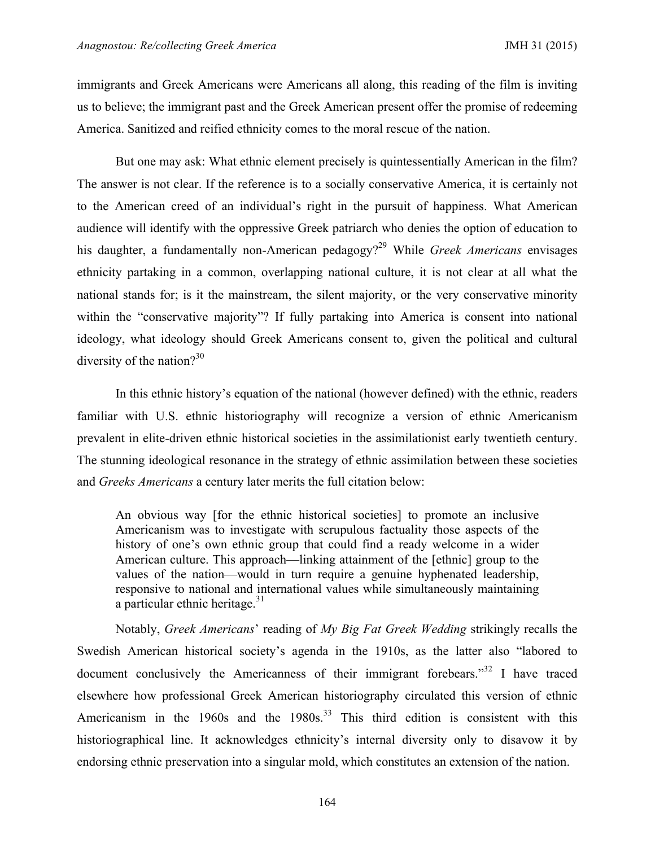immigrants and Greek Americans were Americans all along, this reading of the film is inviting us to believe; the immigrant past and the Greek American present offer the promise of redeeming America. Sanitized and reified ethnicity comes to the moral rescue of the nation.

But one may ask: What ethnic element precisely is quintessentially American in the film? The answer is not clear. If the reference is to a socially conservative America, it is certainly not to the American creed of an individual's right in the pursuit of happiness. What American audience will identify with the oppressive Greek patriarch who denies the option of education to his daughter, a fundamentally non-American pedagogy?<sup>29</sup> While *Greek Americans* envisages ethnicity partaking in a common, overlapping national culture, it is not clear at all what the national stands for; is it the mainstream, the silent majority, or the very conservative minority within the "conservative majority"? If fully partaking into America is consent into national ideology, what ideology should Greek Americans consent to, given the political and cultural diversity of the nation?<sup>30</sup>

In this ethnic history's equation of the national (however defined) with the ethnic, readers familiar with U.S. ethnic historiography will recognize a version of ethnic Americanism prevalent in elite-driven ethnic historical societies in the assimilationist early twentieth century. The stunning ideological resonance in the strategy of ethnic assimilation between these societies and *Greeks Americans* a century later merits the full citation below:

An obvious way [for the ethnic historical societies] to promote an inclusive Americanism was to investigate with scrupulous factuality those aspects of the history of one's own ethnic group that could find a ready welcome in a wider American culture. This approach—linking attainment of the [ethnic] group to the values of the nation—would in turn require a genuine hyphenated leadership, responsive to national and international values while simultaneously maintaining a particular ethnic heritage. $31$ 

Notably, *Greek Americans*' reading of *My Big Fat Greek Wedding* strikingly recalls the Swedish American historical society's agenda in the 1910s, as the latter also "labored to document conclusively the Americanness of their immigrant forebears."<sup>32</sup> I have traced elsewhere how professional Greek American historiography circulated this version of ethnic Americanism in the  $1960s$  and the  $1980s$ .<sup>33</sup> This third edition is consistent with this historiographical line. It acknowledges ethnicity's internal diversity only to disavow it by endorsing ethnic preservation into a singular mold, which constitutes an extension of the nation.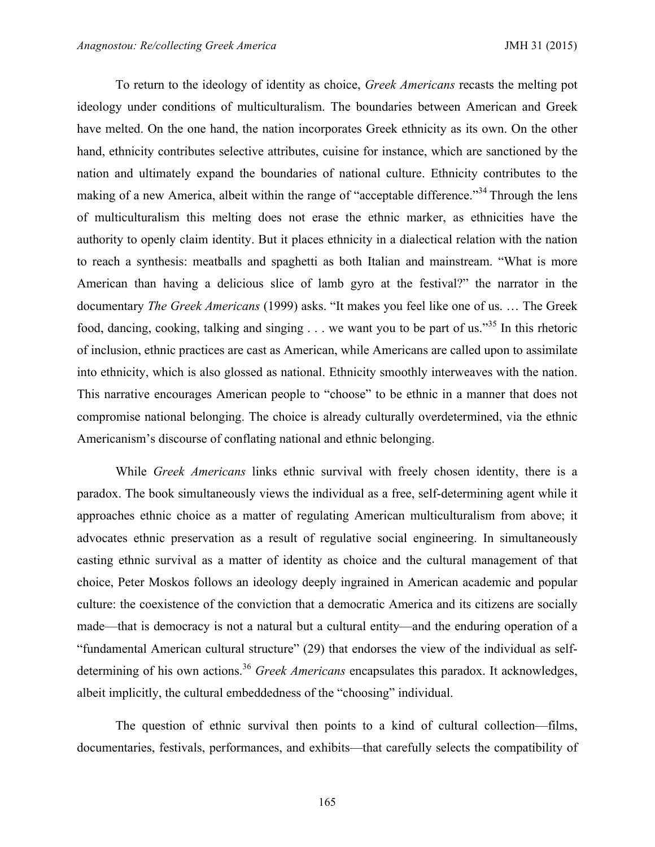To return to the ideology of identity as choice, *Greek Americans* recasts the melting pot ideology under conditions of multiculturalism. The boundaries between American and Greek have melted. On the one hand, the nation incorporates Greek ethnicity as its own. On the other hand, ethnicity contributes selective attributes, cuisine for instance, which are sanctioned by the nation and ultimately expand the boundaries of national culture. Ethnicity contributes to the making of a new America, albeit within the range of "acceptable difference."<sup>34</sup> Through the lens of multiculturalism this melting does not erase the ethnic marker, as ethnicities have the authority to openly claim identity. But it places ethnicity in a dialectical relation with the nation to reach a synthesis: meatballs and spaghetti as both Italian and mainstream. "What is more American than having a delicious slice of lamb gyro at the festival?" the narrator in the documentary *The Greek Americans* (1999) asks. "It makes you feel like one of us. … The Greek food, dancing, cooking, talking and singing  $\ldots$  we want you to be part of us.<sup>355</sup> In this rhetoric of inclusion, ethnic practices are cast as American, while Americans are called upon to assimilate into ethnicity, which is also glossed as national. Ethnicity smoothly interweaves with the nation. This narrative encourages American people to "choose" to be ethnic in a manner that does not compromise national belonging. The choice is already culturally overdetermined, via the ethnic Americanism's discourse of conflating national and ethnic belonging.

While *Greek Americans* links ethnic survival with freely chosen identity, there is a paradox. The book simultaneously views the individual as a free, self-determining agent while it approaches ethnic choice as a matter of regulating American multiculturalism from above; it advocates ethnic preservation as a result of regulative social engineering. In simultaneously casting ethnic survival as a matter of identity as choice and the cultural management of that choice, Peter Moskos follows an ideology deeply ingrained in American academic and popular culture: the coexistence of the conviction that a democratic America and its citizens are socially made—that is democracy is not a natural but a cultural entity—and the enduring operation of a "fundamental American cultural structure" (29) that endorses the view of the individual as selfdetermining of his own actions.<sup>36</sup> *Greek Americans* encapsulates this paradox. It acknowledges, albeit implicitly, the cultural embeddedness of the "choosing" individual.

The question of ethnic survival then points to a kind of cultural collection—films, documentaries, festivals, performances, and exhibits—that carefully selects the compatibility of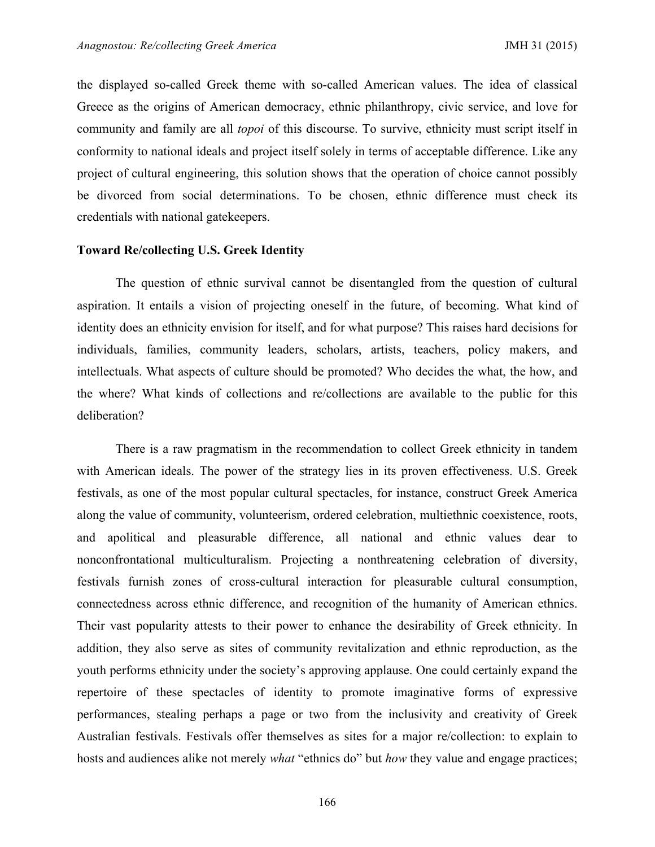the displayed so-called Greek theme with so-called American values. The idea of classical Greece as the origins of American democracy, ethnic philanthropy, civic service, and love for community and family are all *topoi* of this discourse. To survive, ethnicity must script itself in conformity to national ideals and project itself solely in terms of acceptable difference. Like any project of cultural engineering, this solution shows that the operation of choice cannot possibly be divorced from social determinations. To be chosen, ethnic difference must check its credentials with national gatekeepers.

# **Toward Re/collecting U.S. Greek Identity**

The question of ethnic survival cannot be disentangled from the question of cultural aspiration. It entails a vision of projecting oneself in the future, of becoming. What kind of identity does an ethnicity envision for itself, and for what purpose? This raises hard decisions for individuals, families, community leaders, scholars, artists, teachers, policy makers, and intellectuals. What aspects of culture should be promoted? Who decides the what, the how, and the where? What kinds of collections and re/collections are available to the public for this deliberation?

There is a raw pragmatism in the recommendation to collect Greek ethnicity in tandem with American ideals. The power of the strategy lies in its proven effectiveness. U.S. Greek festivals, as one of the most popular cultural spectacles, for instance, construct Greek America along the value of community, volunteerism, ordered celebration, multiethnic coexistence, roots, and apolitical and pleasurable difference, all national and ethnic values dear to nonconfrontational multiculturalism. Projecting a nonthreatening celebration of diversity, festivals furnish zones of cross-cultural interaction for pleasurable cultural consumption, connectedness across ethnic difference, and recognition of the humanity of American ethnics. Their vast popularity attests to their power to enhance the desirability of Greek ethnicity. In addition, they also serve as sites of community revitalization and ethnic reproduction, as the youth performs ethnicity under the society's approving applause. One could certainly expand the repertoire of these spectacles of identity to promote imaginative forms of expressive performances, stealing perhaps a page or two from the inclusivity and creativity of Greek Australian festivals. Festivals offer themselves as sites for a major re/collection: to explain to hosts and audiences alike not merely *what* "ethnics do" but *how* they value and engage practices;

166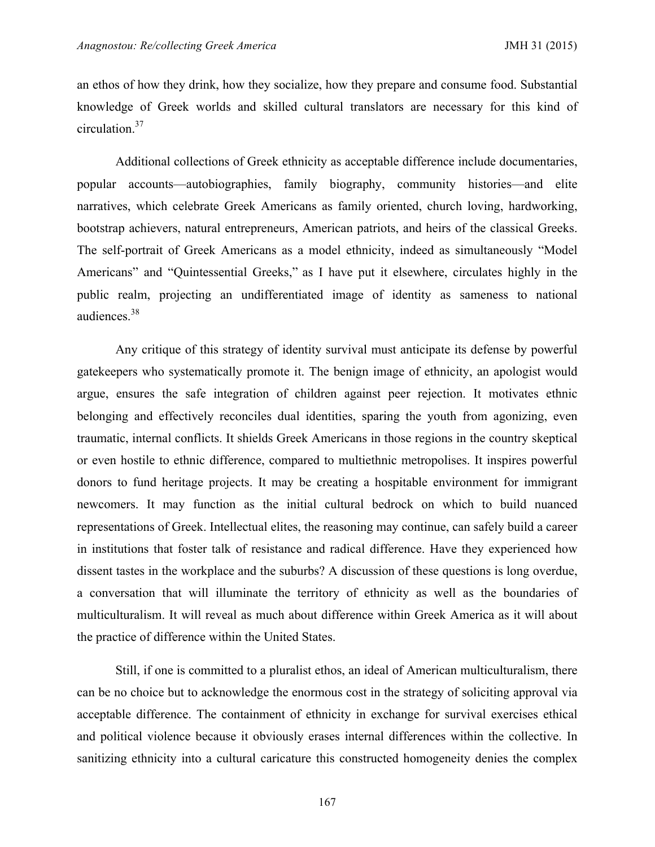an ethos of how they drink, how they socialize, how they prepare and consume food. Substantial knowledge of Greek worlds and skilled cultural translators are necessary for this kind of circulation.37

Additional collections of Greek ethnicity as acceptable difference include documentaries, popular accounts—autobiographies, family biography, community histories—and elite narratives, which celebrate Greek Americans as family oriented, church loving, hardworking, bootstrap achievers, natural entrepreneurs, American patriots, and heirs of the classical Greeks. The self-portrait of Greek Americans as a model ethnicity, indeed as simultaneously "Model Americans" and "Quintessential Greeks," as I have put it elsewhere, circulates highly in the public realm, projecting an undifferentiated image of identity as sameness to national audiences.38

Any critique of this strategy of identity survival must anticipate its defense by powerful gatekeepers who systematically promote it. The benign image of ethnicity, an apologist would argue, ensures the safe integration of children against peer rejection. It motivates ethnic belonging and effectively reconciles dual identities, sparing the youth from agonizing, even traumatic, internal conflicts. It shields Greek Americans in those regions in the country skeptical or even hostile to ethnic difference, compared to multiethnic metropolises. It inspires powerful donors to fund heritage projects. It may be creating a hospitable environment for immigrant newcomers. It may function as the initial cultural bedrock on which to build nuanced representations of Greek. Intellectual elites, the reasoning may continue, can safely build a career in institutions that foster talk of resistance and radical difference. Have they experienced how dissent tastes in the workplace and the suburbs? A discussion of these questions is long overdue, a conversation that will illuminate the territory of ethnicity as well as the boundaries of multiculturalism. It will reveal as much about difference within Greek America as it will about the practice of difference within the United States.

Still, if one is committed to a pluralist ethos, an ideal of American multiculturalism, there can be no choice but to acknowledge the enormous cost in the strategy of soliciting approval via acceptable difference. The containment of ethnicity in exchange for survival exercises ethical and political violence because it obviously erases internal differences within the collective. In sanitizing ethnicity into a cultural caricature this constructed homogeneity denies the complex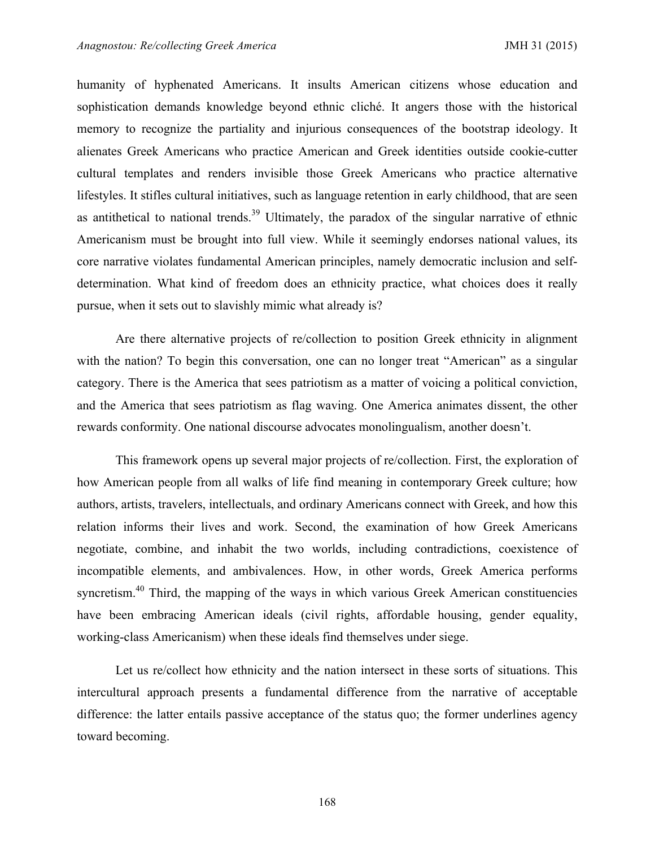humanity of hyphenated Americans. It insults American citizens whose education and sophistication demands knowledge beyond ethnic cliché. It angers those with the historical memory to recognize the partiality and injurious consequences of the bootstrap ideology. It alienates Greek Americans who practice American and Greek identities outside cookie-cutter cultural templates and renders invisible those Greek Americans who practice alternative lifestyles. It stifles cultural initiatives, such as language retention in early childhood, that are seen as antithetical to national trends.<sup>39</sup> Ultimately, the paradox of the singular narrative of ethnic Americanism must be brought into full view. While it seemingly endorses national values, its core narrative violates fundamental American principles, namely democratic inclusion and selfdetermination. What kind of freedom does an ethnicity practice, what choices does it really pursue, when it sets out to slavishly mimic what already is?

Are there alternative projects of re/collection to position Greek ethnicity in alignment with the nation? To begin this conversation, one can no longer treat "American" as a singular category. There is the America that sees patriotism as a matter of voicing a political conviction, and the America that sees patriotism as flag waving. One America animates dissent, the other rewards conformity. One national discourse advocates monolingualism, another doesn't.

This framework opens up several major projects of re/collection. First, the exploration of how American people from all walks of life find meaning in contemporary Greek culture; how authors, artists, travelers, intellectuals, and ordinary Americans connect with Greek, and how this relation informs their lives and work. Second, the examination of how Greek Americans negotiate, combine, and inhabit the two worlds, including contradictions, coexistence of incompatible elements, and ambivalences. How, in other words, Greek America performs syncretism.<sup>40</sup> Third, the mapping of the ways in which various Greek American constituencies have been embracing American ideals (civil rights, affordable housing, gender equality, working-class Americanism) when these ideals find themselves under siege.

Let us re/collect how ethnicity and the nation intersect in these sorts of situations. This intercultural approach presents a fundamental difference from the narrative of acceptable difference: the latter entails passive acceptance of the status quo; the former underlines agency toward becoming.

168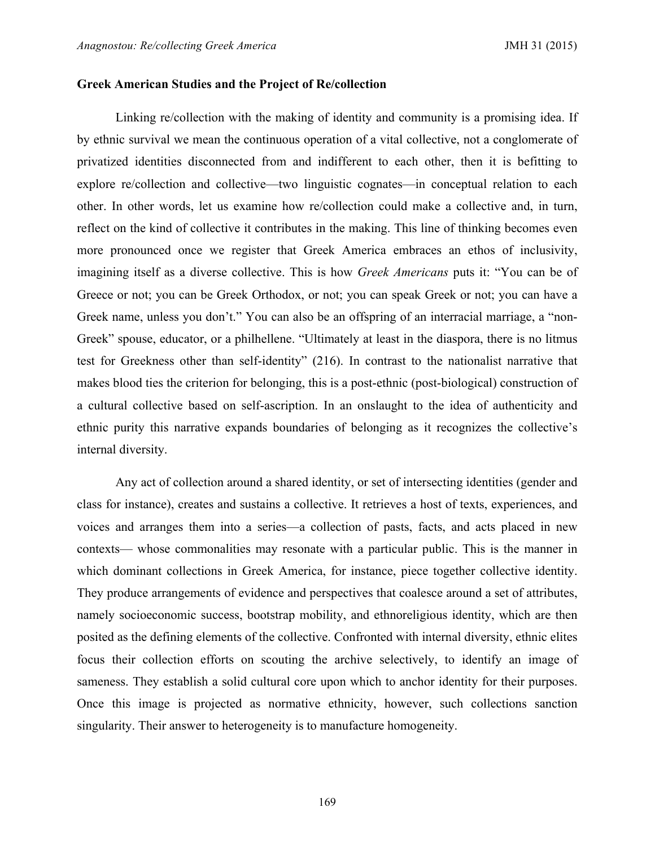# **Greek American Studies and the Project of Re/collection**

Linking re/collection with the making of identity and community is a promising idea. If by ethnic survival we mean the continuous operation of a vital collective, not a conglomerate of privatized identities disconnected from and indifferent to each other, then it is befitting to explore re/collection and collective—two linguistic cognates—in conceptual relation to each other. In other words, let us examine how re/collection could make a collective and, in turn, reflect on the kind of collective it contributes in the making. This line of thinking becomes even more pronounced once we register that Greek America embraces an ethos of inclusivity, imagining itself as a diverse collective. This is how *Greek Americans* puts it: "You can be of Greece or not; you can be Greek Orthodox, or not; you can speak Greek or not; you can have a Greek name, unless you don't." You can also be an offspring of an interracial marriage, a "non-Greek" spouse, educator, or a philhellene. "Ultimately at least in the diaspora, there is no litmus test for Greekness other than self-identity" (216). In contrast to the nationalist narrative that makes blood ties the criterion for belonging, this is a post-ethnic (post-biological) construction of a cultural collective based on self-ascription. In an onslaught to the idea of authenticity and ethnic purity this narrative expands boundaries of belonging as it recognizes the collective's internal diversity.

Any act of collection around a shared identity, or set of intersecting identities (gender and class for instance), creates and sustains a collective. It retrieves a host of texts, experiences, and voices and arranges them into a series—a collection of pasts, facts, and acts placed in new contexts— whose commonalities may resonate with a particular public. This is the manner in which dominant collections in Greek America, for instance, piece together collective identity. They produce arrangements of evidence and perspectives that coalesce around a set of attributes, namely socioeconomic success, bootstrap mobility, and ethnoreligious identity, which are then posited as the defining elements of the collective. Confronted with internal diversity, ethnic elites focus their collection efforts on scouting the archive selectively, to identify an image of sameness. They establish a solid cultural core upon which to anchor identity for their purposes. Once this image is projected as normative ethnicity, however, such collections sanction singularity. Their answer to heterogeneity is to manufacture homogeneity.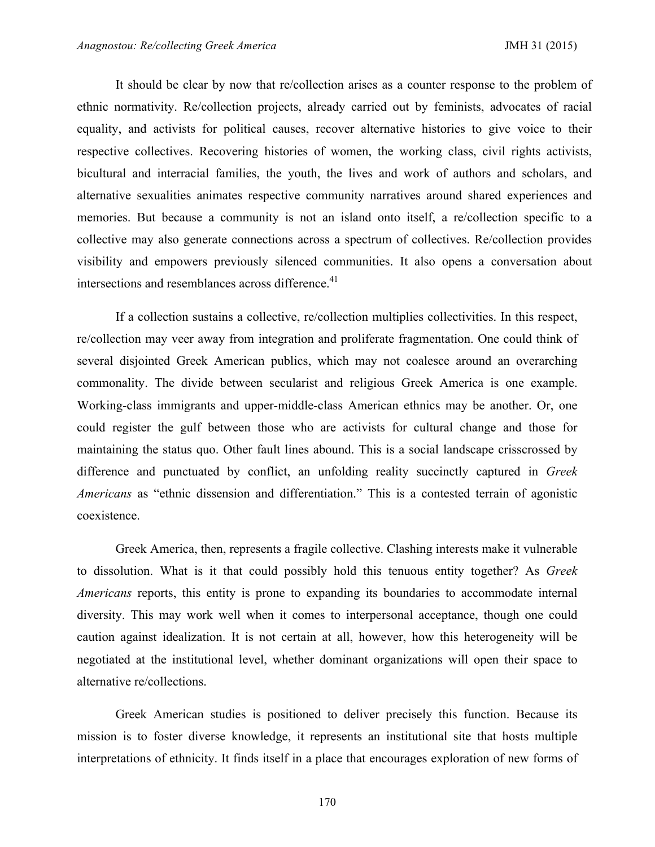It should be clear by now that re/collection arises as a counter response to the problem of ethnic normativity. Re/collection projects, already carried out by feminists, advocates of racial equality, and activists for political causes, recover alternative histories to give voice to their respective collectives. Recovering histories of women, the working class, civil rights activists, bicultural and interracial families, the youth, the lives and work of authors and scholars, and alternative sexualities animates respective community narratives around shared experiences and memories. But because a community is not an island onto itself, a re/collection specific to a collective may also generate connections across a spectrum of collectives. Re/collection provides visibility and empowers previously silenced communities. It also opens a conversation about intersections and resemblances across difference.<sup>41</sup>

If a collection sustains a collective, re/collection multiplies collectivities. In this respect, re/collection may veer away from integration and proliferate fragmentation. One could think of several disjointed Greek American publics, which may not coalesce around an overarching commonality. The divide between secularist and religious Greek America is one example. Working-class immigrants and upper-middle-class American ethnics may be another. Or, one could register the gulf between those who are activists for cultural change and those for maintaining the status quo. Other fault lines abound. This is a social landscape crisscrossed by difference and punctuated by conflict, an unfolding reality succinctly captured in *Greek Americans* as "ethnic dissension and differentiation." This is a contested terrain of agonistic coexistence.

Greek America, then, represents a fragile collective. Clashing interests make it vulnerable to dissolution. What is it that could possibly hold this tenuous entity together? As *Greek Americans* reports, this entity is prone to expanding its boundaries to accommodate internal diversity. This may work well when it comes to interpersonal acceptance, though one could caution against idealization. It is not certain at all, however, how this heterogeneity will be negotiated at the institutional level, whether dominant organizations will open their space to alternative re/collections.

Greek American studies is positioned to deliver precisely this function. Because its mission is to foster diverse knowledge, it represents an institutional site that hosts multiple interpretations of ethnicity. It finds itself in a place that encourages exploration of new forms of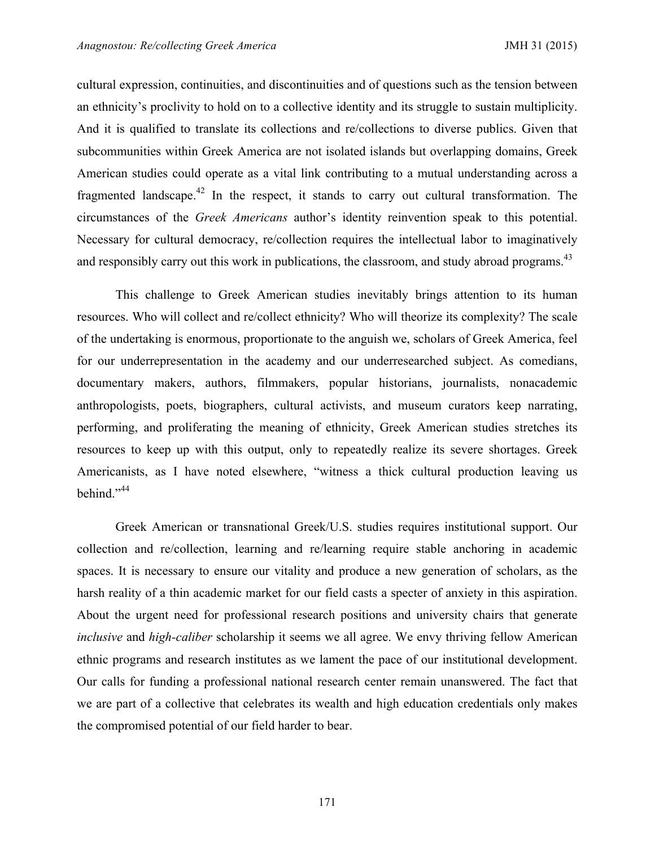cultural expression, continuities, and discontinuities and of questions such as the tension between an ethnicity's proclivity to hold on to a collective identity and its struggle to sustain multiplicity. And it is qualified to translate its collections and re/collections to diverse publics. Given that subcommunities within Greek America are not isolated islands but overlapping domains, Greek American studies could operate as a vital link contributing to a mutual understanding across a fragmented landscape.<sup>42</sup> In the respect, it stands to carry out cultural transformation. The circumstances of the *Greek Americans* author's identity reinvention speak to this potential. Necessary for cultural democracy, re/collection requires the intellectual labor to imaginatively and responsibly carry out this work in publications, the classroom, and study abroad programs.<sup>43</sup>

This challenge to Greek American studies inevitably brings attention to its human resources. Who will collect and re/collect ethnicity? Who will theorize its complexity? The scale of the undertaking is enormous, proportionate to the anguish we, scholars of Greek America, feel for our underrepresentation in the academy and our underresearched subject. As comedians, documentary makers, authors, filmmakers, popular historians, journalists, nonacademic anthropologists, poets, biographers, cultural activists, and museum curators keep narrating, performing, and proliferating the meaning of ethnicity, Greek American studies stretches its resources to keep up with this output, only to repeatedly realize its severe shortages. Greek Americanists, as I have noted elsewhere, "witness a thick cultural production leaving us behind."<sup>44</sup>

Greek American or transnational Greek/U.S. studies requires institutional support. Our collection and re/collection, learning and re/learning require stable anchoring in academic spaces. It is necessary to ensure our vitality and produce a new generation of scholars, as the harsh reality of a thin academic market for our field casts a specter of anxiety in this aspiration. About the urgent need for professional research positions and university chairs that generate *inclusive* and *high-caliber* scholarship it seems we all agree. We envy thriving fellow American ethnic programs and research institutes as we lament the pace of our institutional development. Our calls for funding a professional national research center remain unanswered. The fact that we are part of a collective that celebrates its wealth and high education credentials only makes the compromised potential of our field harder to bear.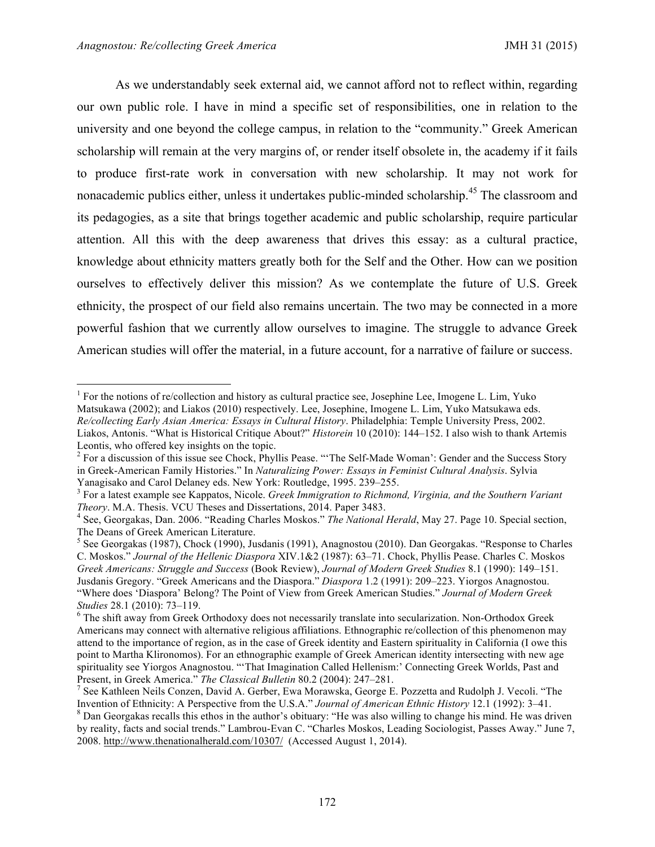As we understandably seek external aid, we cannot afford not to reflect within, regarding our own public role. I have in mind a specific set of responsibilities, one in relation to the university and one beyond the college campus, in relation to the "community." Greek American scholarship will remain at the very margins of, or render itself obsolete in, the academy if it fails to produce first-rate work in conversation with new scholarship. It may not work for nonacademic publics either, unless it undertakes public-minded scholarship.<sup>45</sup> The classroom and its pedagogies, as a site that brings together academic and public scholarship, require particular attention. All this with the deep awareness that drives this essay: as a cultural practice, knowledge about ethnicity matters greatly both for the Self and the Other. How can we position ourselves to effectively deliver this mission? As we contemplate the future of U.S. Greek ethnicity, the prospect of our field also remains uncertain. The two may be connected in a more powerful fashion that we currently allow ourselves to imagine. The struggle to advance Greek American studies will offer the material, in a future account, for a narrative of failure or success.

<sup>&</sup>lt;sup>1</sup> For the notions of re/collection and history as cultural practice see, Josephine Lee, Imogene L. Lim, Yuko Matsukawa (2002); and Liakos (2010) respectively. Lee, Josephine, Imogene L. Lim, Yuko Matsukawa eds. *Re/collecting Early Asian America: Essays in Cultural History*. Philadelphia: Temple University Press, 2002. Liakos, Antonis. "What is Historical Critique About?" *Historein* 10 (2010): 144–152. I also wish to thank Artemis Leontis, who offered key insights on the topic.

<sup>&</sup>lt;sup>2</sup> For a discussion of this issue see Chock, Phyllis Pease. "'The Self-Made Woman': Gender and the Success Story in Greek-American Family Histories." In *Naturalizing Power: Essays in Feminist Cultural Analysis*. Sylvia

Yanagisako and Carol Delaney eds. New York: Routledge, 1995. 239–255.<br><sup>3</sup> For a latest example see Kappatos, Nicole. *Greek Immigration to Richmond, Virginia, and the Southern Variant Theory*. M.A. Thesis. VCU Theses and D

<sup>&</sup>lt;sup>4</sup> See, Georgakas, Dan. 2006. "Reading Charles Moskos." *The National Herald*, May 27. Page 10. Special section, The Deans of Greek American Literature.

<sup>5</sup> See Georgakas (1987), Chock (1990), Jusdanis (1991), Anagnostou (2010). Dan Georgakas. "Response to Charles C. Moskos." *Journal of the Hellenic Diaspora* XIV.1&2 (1987): 63–71. Chock, Phyllis Pease. Charles C. Moskos *Greek Americans: Struggle and Success* (Book Review), *Journal of Modern Greek Studies* 8.1 (1990): 149–151. Jusdanis Gregory. "Greek Americans and the Diaspora." *Diaspora* 1.2 (1991): 209–223. Yiorgos Anagnostou. "Where does 'Diaspora' Belong? The Point of View from Greek American Studies." *Journal of Modern Greek* 

<sup>&</sup>lt;sup>6</sup> The shift away from Greek Orthodoxy does not necessarily translate into secularization. Non-Orthodox Greek Americans may connect with alternative religious affiliations. Ethnographic re/collection of this phenomenon may attend to the importance of region, as in the case of Greek identity and Eastern spirituality in California (I owe this point to Martha Klironomos). For an ethnographic example of Greek American identity intersecting with new age spirituality see Yiorgos Anagnostou. "'That Imagination Called Hellenism:' Connecting Greek Worlds, Past and Present, in Greek America." *The Classical Bulletin* 80.2 (2004): 247–281.<br><sup>7</sup> See Kathleen Neils Conzen, David A. Gerber, Ewa Morawska, George E. Pozzetta and Rudolph J. Vecoli. "The

Invention of Ethnicity: A Perspective from the U.S.A." Journal of American Ethnic History 12.1 (1992): 3–41.<br><sup>8</sup> Dan Georgakas recalls this ethos in the author's obituary: "He was also willing to change his mind. He was dr

by reality, facts and social trends." Lambrou-Evan C. "Charles Moskos, Leading Sociologist, Passes Away." June 7, 2008. http://www.thenationalherald.com/10307/ (Accessed August 1, 2014).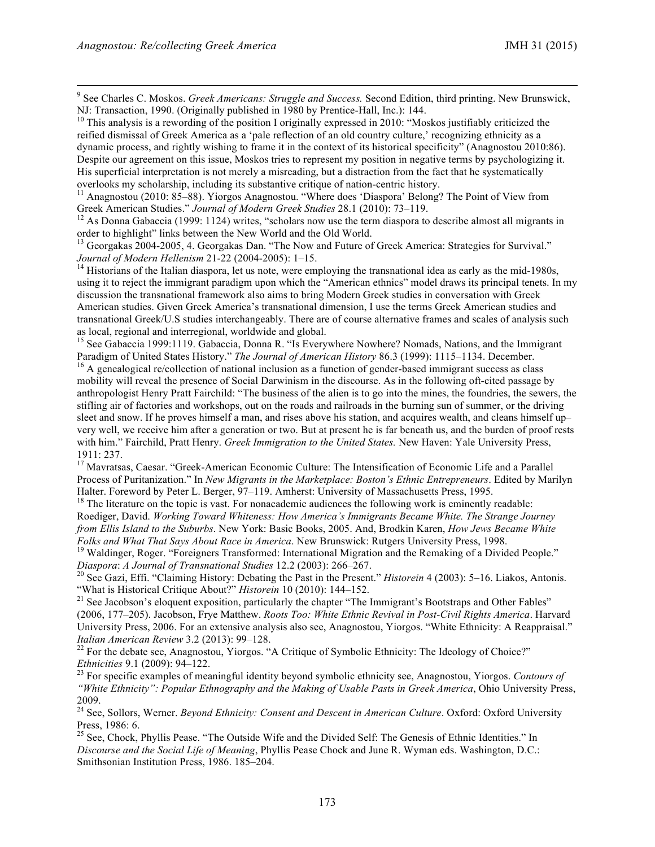<sup>9</sup> See Charles C. Moskos. *Greek Americans: Struggle and Success.* Second Edition, third printing. New Brunswick, NJ: Transaction, 1990. (Originally published in 1980 by Prentice-Hall, Inc.): 144.<br><sup>10</sup> This analysis is a rewording of the position I originally expressed in 2010: "Moskos justifiably criticized the

reified dismissal of Greek America as a 'pale reflection of an old country culture,' recognizing ethnicity as a dynamic process, and rightly wishing to frame it in the context of its historical specificity" (Anagnostou 2010:86). Despite our agreement on this issue, Moskos tries to represent my position in negative terms by psychologizing it. His superficial interpretation is not merely a misreading, but a distraction from the fact that he systematically overlooks my scholarship, including its substantive critique of nation-centric history.

<sup>11</sup> Anagnostou (2010: 85–88). Yiorgos Anagnostou. "Where does 'Diaspora' Belong? The Point of View from Greek American Studies." *Journal of Modern Greek Studies* 28.1 (2010): 73–119.<br><sup>12</sup> As Donna Gabaccia (1999: 1124) writes, "scholars now use the term diaspora to describe almost all migrants in

order to highlight" links between the New World and the Old World.

<sup>13</sup> Georgakas 2004-2005, 4. Georgakas Dan. "The Now and Future of Greek America: Strategies for Survival." *Journal of Modern Hellenism* 21-22 (2004-2005):  $1-15$ .

<sup>14</sup> Historians of the Italian diaspora, let us note, were employing the transnational idea as early as the mid-1980s, using it to reject the immigrant paradigm upon which the "American ethnics" model draws its principal tenets. In my discussion the transnational framework also aims to bring Modern Greek studies in conversation with Greek American studies. Given Greek America's transnational dimension, I use the terms Greek American studies and transnational Greek/U.S studies interchangeably. There are of course alternative frames and scales of analysis such as local, regional and interregional, worldwide and global.

<sup>15</sup> See Gabaccia 1999:1119. Gabaccia, Donna R. "Is Everywhere Nowhere? Nomads, Nations, and the Immigrant Paradigm of United States History." *The Journal of American History* 86.3 (1999): 1115–1134. December. <sup>16</sup> A genealogical re/collection of national inclusion as a function of gender-based immigrant success as class

mobility will reveal the presence of Social Darwinism in the discourse. As in the following oft-cited passage by anthropologist Henry Pratt Fairchild: "The business of the alien is to go into the mines, the foundries, the sewers, the stifling air of factories and workshops, out on the roads and railroads in the burning sun of summer, or the driving sleet and snow. If he proves himself a man, and rises above his station, and acquires wealth, and cleans himself up– very well, we receive him after a generation or two. But at present he is far beneath us, and the burden of proof rests with him." Fairchild, Pratt Henry. *Greek Immigration to the United States*. New Haven: Yale University Press, 1911: 237.

<sup>17</sup> Mavratsas, Caesar. "Greek-American Economic Culture: The Intensification of Economic Life and a Parallel Process of Puritanization." In *New Migrants in the Marketplace: Boston's Ethnic Entrepreneurs*. Edited by Marilyn Halter. Foreword by Peter L. Berger, 97–119. Amherst: University of Massachusetts Press, 1995.<br><sup>18</sup> The literature on the topic is vast. For nonacademic audiences the following work is eminently readable:

Roediger, David. *Working Toward Whiteness: How America's Immigrants Became White. The Strange Journey from Ellis Island to the Suburbs*. New York: Basic Books, 2005. And, Brodkin Karen, *How Jews Became White Folks and What That Says About Race in America*. New Brunswick: Rutgers University Press, 1998.<br><sup>19</sup> Waldinger, Roger. "Foreigners Transformed: International Migration and the Remaking of a Divided People."

*Diaspora: A Journal of Transnational Studies 12.2 (2003): 266–267.*<br><sup>20</sup> See Gazi, Effi. "Claiming History: Debating the Past in the Present." *Historein* 4 (2003): 5–16. Liakos, Antonis.<br>"What is Historical Critique Abou

<sup>21</sup> See Jacobson's eloquent exposition, particularly the chapter "The Immigrant's Bootstraps and Other Fables" (2006, 177–205). Jacobson, Frye Matthew. *Roots Too: White Ethnic Revival in Post-Civil Rights America*. Harvard University Press, 2006. For an extensive analysis also see, Anagnostou, Yiorgos. "White Ethnicity: A Reappraisal." *Italian American Review* 3.2 (2013): 99–128.<br><sup>22</sup> For the debate see, Anagnostou, Yiorgos. "A Critique of Symbolic Ethnicity: The Ideology of Choice?"

*Ethnicities* 9.1 (2009): 94–122.<br><sup>23</sup> For specific examples of meaningful identity beyond symbolic ethnicity see, Anagnostou, Yiorgos. *Contours of "White Ethnicity": Popular Ethnography and the Making of Usable Pasts in Greek America*, Ohio University Press, 2009.

<sup>24</sup> See, Sollors, Werner. *Beyond Ethnicity: Consent and Descent in American Culture*. Oxford: Oxford University Press, 1986: 6.

<sup>25</sup> See, Chock, Phyllis Pease. "The Outside Wife and the Divided Self: The Genesis of Ethnic Identities." In *Discourse and the Social Life of Meaning*, Phyllis Pease Chock and June R. Wyman eds. Washington, D.C.: Smithsonian Institution Press, 1986. 185–204.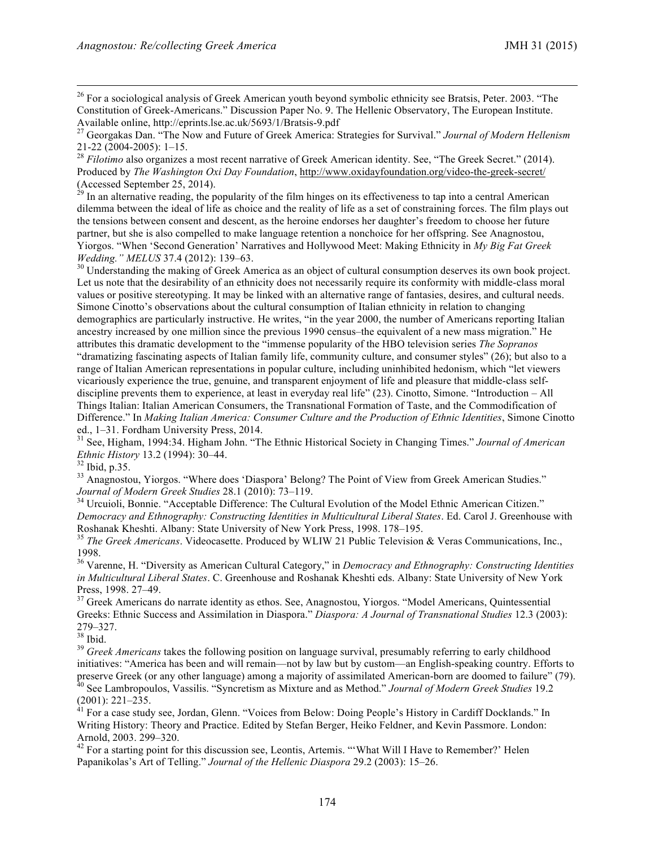<sup>26</sup> For a sociological analysis of Greek American youth beyond symbolic ethnicity see Bratsis, Peter. 2003. "The Constitution of Greek-Americans." Discussion Paper No. 9. The Hellenic Observatory, The European Institute.

21-22 (2004-2005): 1–15. <sup>28</sup> *Filotimo* also organizes a most recent narrative of Greek American identity. See, "The Greek Secret." (2014). Produced by *The Washington Oxi Day Foundation*, http://www.oxidayfoundation.org/video-the-greek-secret/ (Accessed September 25, 2014).

 $^{29}$  In an alternative reading, the popularity of the film hinges on its effectiveness to tap into a central American dilemma between the ideal of life as choice and the reality of life as a set of constraining forces. The film plays out the tensions between consent and descent, as the heroine endorses her daughter's freedom to choose her future partner, but she is also compelled to make language retention a nonchoice for her offspring. See Anagnostou, Yiorgos. "When 'Second Generation' Narratives and Hollywood Meet: Making Ethnicity in *My Big Fat Greek Wedding." MELUS* 37.4 (2012): 139–63.<br><sup>30</sup> Understanding the making of Greek America as an object of cultural consumption deserves its own book project.

Let us note that the desirability of an ethnicity does not necessarily require its conformity with middle-class moral values or positive stereotyping. It may be linked with an alternative range of fantasies, desires, and cultural needs. Simone Cinotto's observations about the cultural consumption of Italian ethnicity in relation to changing demographics are particularly instructive. He writes, "in the year 2000, the number of Americans reporting Italian ancestry increased by one million since the previous 1990 census–the equivalent of a new mass migration." He attributes this dramatic development to the "immense popularity of the HBO television series *The Sopranos* "dramatizing fascinating aspects of Italian family life, community culture, and consumer styles" (26); but also to a range of Italian American representations in popular culture, including uninhibited hedonism, which "let viewers vicariously experience the true, genuine, and transparent enjoyment of life and pleasure that middle-class selfdiscipline prevents them to experience, at least in everyday real life" (23). Cinotto, Simone. "Introduction – All Things Italian: Italian American Consumers, the Transnational Formation of Taste, and the Commodification of Difference." In *Making Italian America: Consumer Culture and the Production of Ethnic Identities*, Simone Cinotto

ed., 1–31. Fordham University Press, 2014.<br><sup>31</sup> See, Higham, 1994:34. Higham John. "The Ethnic Historical Society in Changing Times." *Journal of American Ethnic History* 13.2 (1994): 30–44.

<sup>22</sup> Ibid, p.35.<br><sup>33</sup> Anagnostou, Yiorgos. "Where does 'Diaspora' Belong? The Point of View from Greek American Studies."<br>*Journal of Modern Greek Studies* 28.1 (2010): 73–119.

<sup>34</sup> Urcuioli, Bonnie. "Acceptable Difference: The Cultural Evolution of the Model Ethnic American Citizen." *Democracy and Ethnography: Constructing Identities in Multicultural Liberal States*. Ed. Carol J. Greenhouse with Roshanak Kheshti. Albany: State University of New York Press, 1998. 178–195. <sup>35</sup> *The Greek Americans*. Videocasette. Produced by WLIW 21 Public Television & Veras Communications, Inc.,

1998.

<sup>36</sup> Varenne, H. "Diversity as American Cultural Category," in *Democracy and Ethnography: Constructing Identities in Multicultural Liberal States*. C. Greenhouse and Roshanak Kheshti eds. Albany: State University of New York

Press, 1998. 27–49. <sup>37</sup> Greek Americans do narrate identity as ethos. See, Anagnostou, Yiorgos. "Model Americans, Quintessential Greeks: Ethnic Success and Assimilation in Diaspora." *Diaspora: A Journal of Transnational Studies* 12.3 (2003): 279–327.<br><sup>38</sup> Ibid.

<sup>39</sup> Greek Americans takes the following position on language survival, presumably referring to early childhood initiatives: "America has been and will remain—not by law but by custom—an English-speaking country. Efforts to preserve Greek (or any other language) among a majority of assimilated American-born are doomed to failure" (7 <sup>40</sup> See Lambropoulos, Vassilis. "Syncretism as Mixture and as Method." Journal of Modern Greek Studies 19.2

(2001): 221–235.<br><sup>41</sup> For a case study see, Jordan, Glenn. "Voices from Below: Doing People's History in Cardiff Docklands." In Writing History: Theory and Practice. Edited by Stefan Berger, Heiko Feldner, and Kevin Passmore. London:

Arnold, 2003. 299–320.<br><sup>42</sup> For a starting point for this discussion see, Leontis, Artemis. "'What Will I Have to Remember?' Helen Papanikolas's Art of Telling." *Journal of the Hellenic Diaspora* 29.2 (2003): 15–26.

<sup>&</sup>lt;sup>27</sup> Georgakas Dan. "The Now and Future of Greek America: Strategies for Survival." *Journal of Modern Hellenism* 21-22 (2004-2005): 1–15.